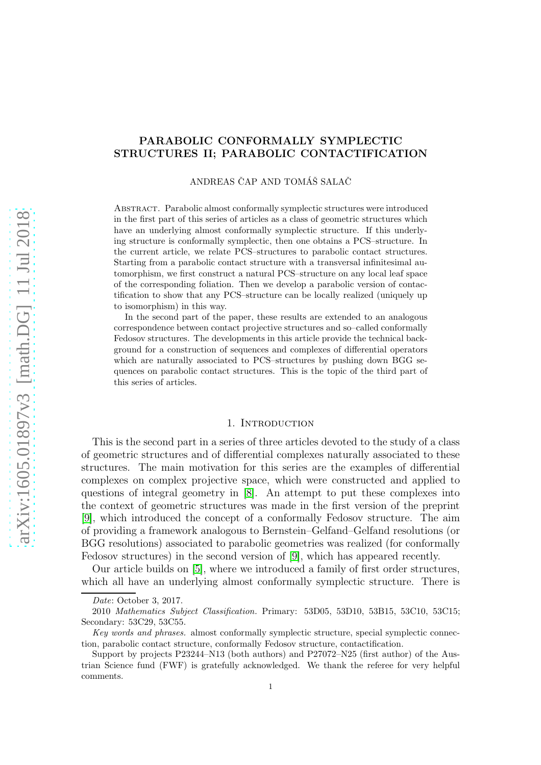# PARABOLIC CONFORMALLY SYMPLECTIC STRUCTURES II; PARABOLIC CONTACTIFICATION

# ANDREAS ČAP AND TOMÁŠ SALAČ

Abstract. Parabolic almost conformally symplectic structures were introduced in the first part of this series of articles as a class of geometric structures which have an underlying almost conformally symplectic structure. If this underlying structure is conformally symplectic, then one obtains a PCS–structure. In the current article, we relate PCS–structures to parabolic contact structures. Starting from a parabolic contact structure with a transversal infinitesimal automorphism, we first construct a natural PCS–structure on any local leaf space of the corresponding foliation. Then we develop a parabolic version of contactification to show that any PCS–structure can be locally realized (uniquely up to isomorphism) in this way.

In the second part of the paper, these results are extended to an analogous correspondence between contact projective structures and so–called conformally Fedosov structures. The developments in this article provide the technical background for a construction of sequences and complexes of differential operators which are naturally associated to PCS–structures by pushing down BGG sequences on parabolic contact structures. This is the topic of the third part of this series of articles.

# 1. INTRODUCTION

This is the second part in a series of three articles devoted to the study of a class of geometric structures and of differential complexes naturally associated to these structures. The main motivation for this series are the examples of differential complexes on complex projective space, which were constructed and applied to questions of integral geometry in [\[8\]](#page-27-0). An attempt to put these complexes into the context of geometric structures was made in the first version of the preprint [\[9\]](#page-27-1), which introduced the concept of a conformally Fedosov structure. The aim of providing a framework analogous to Bernstein–Gelfand–Gelfand resolutions (or BGG resolutions) associated to parabolic geometries was realized (for conformally Fedosov structures) in the second version of [\[9\]](#page-27-1), which has appeared recently.

Our article builds on [\[5\]](#page-27-2), where we introduced a family of first order structures, which all have an underlying almost conformally symplectic structure. There is

Date: October 3, 2017.

<sup>2010</sup> Mathematics Subject Classification. Primary: 53D05, 53D10, 53B15, 53C10, 53C15; Secondary: 53C29, 53C55.

Key words and phrases. almost conformally symplectic structure, special symplectic connection, parabolic contact structure, conformally Fedosov structure, contactification.

Support by projects P23244–N13 (both authors) and P27072–N25 (first author) of the Austrian Science fund (FWF) is gratefully acknowledged. We thank the referee for very helpful comments.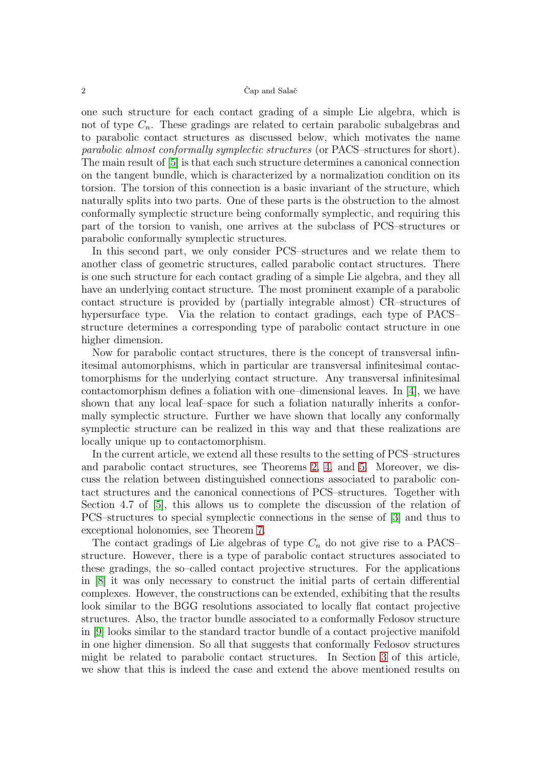one such structure for each contact grading of a simple Lie algebra, which is not of type  $C_n$ . These gradings are related to certain parabolic subalgebras and to parabolic contact structures as discussed below, which motivates the name parabolic almost conformally symplectic structures (or PACS–structures for short). The main result of [\[5\]](#page-27-2) is that each such structure determines a canonical connection on the tangent bundle, which is characterized by a normalization condition on its torsion. The torsion of this connection is a basic invariant of the structure, which naturally splits into two parts. One of these parts is the obstruction to the almost conformally symplectic structure being conformally symplectic, and requiring this part of the torsion to vanish, one arrives at the subclass of PCS–structures or parabolic conformally symplectic structures.

In this second part, we only consider PCS–structures and we relate them to another class of geometric structures, called parabolic contact structures. There is one such structure for each contact grading of a simple Lie algebra, and they all have an underlying contact structure. The most prominent example of a parabolic contact structure is provided by (partially integrable almost) CR–structures of hypersurface type. Via the relation to contact gradings, each type of PACS– structure determines a corresponding type of parabolic contact structure in one higher dimension.

Now for parabolic contact structures, there is the concept of transversal infinitesimal automorphisms, which in particular are transversal infinitesimal contactomorphisms for the underlying contact structure. Any transversal infinitesimal contactomorphism defines a foliation with one–dimensional leaves. In [\[4\]](#page-27-3), we have shown that any local leaf–space for such a foliation naturally inherits a conformally symplectic structure. Further we have shown that locally any conformally symplectic structure can be realized in this way and that these realizations are locally unique up to contactomorphism.

In the current article, we extend all these results to the setting of PCS–structures and parabolic contact structures, see Theorems [2,](#page-8-0) [4,](#page-14-0) and [5.](#page-15-0) Moreover, we discuss the relation between distinguished connections associated to parabolic contact structures and the canonical connections of PCS–structures. Together with Section 4.7 of [\[5\]](#page-27-2), this allows us to complete the discussion of the relation of PCS–structures to special symplectic connections in the sense of [\[3\]](#page-26-0) and thus to exceptional holonomies, see Theorem [7.](#page-19-0)

The contact gradings of Lie algebras of type  $C_n$  do not give rise to a PACS– structure. However, there is a type of parabolic contact structures associated to these gradings, the so–called contact projective structures. For the applications in [\[8\]](#page-27-0) it was only necessary to construct the initial parts of certain differential complexes. However, the constructions can be extended, exhibiting that the results look similar to the BGG resolutions associated to locally flat contact projective structures. Also, the tractor bundle associated to a conformally Fedosov structure in [\[9\]](#page-27-1) looks similar to the standard tractor bundle of a contact projective manifold in one higher dimension. So all that suggests that conformally Fedosov structures might be related to parabolic contact structures. In Section [3](#page-19-1) of this article, we show that this is indeed the case and extend the above mentioned results on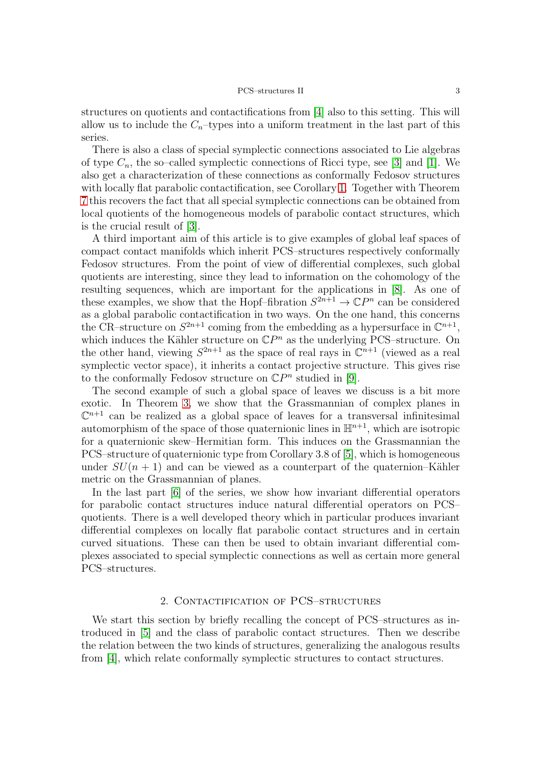structures on quotients and contactifications from [\[4\]](#page-27-3) also to this setting. This will allow us to include the  $C_n$ -types into a uniform treatment in the last part of this series.

There is also a class of special symplectic connections associated to Lie algebras of type  $C_n$ , the so–called symplectic connections of Ricci type, see [\[3\]](#page-26-0) and [\[1\]](#page-26-1). We also get a characterization of these connections as conformally Fedosov structures with locally flat parabolic contactification, see Corollary [1.](#page-25-0) Together with Theorem [7](#page-19-0) this recovers the fact that all special symplectic connections can be obtained from local quotients of the homogeneous models of parabolic contact structures, which is the crucial result of [\[3\]](#page-26-0).

A third important aim of this article is to give examples of global leaf spaces of compact contact manifolds which inherit PCS–structures respectively conformally Fedosov structures. From the point of view of differential complexes, such global quotients are interesting, since they lead to information on the cohomology of the resulting sequences, which are important for the applications in [\[8\]](#page-27-0). As one of these examples, we show that the Hopf–fibration  $S^{2n+1} \to \mathbb{C}P^n$  can be considered as a global parabolic contactification in two ways. On the one hand, this concerns the CR-structure on  $S^{2n+1}$  coming from the embedding as a hypersurface in  $\mathbb{C}^{n+1}$ , which induces the Kähler structure on  $\mathbb{C}P^n$  as the underlying PCS–structure. On the other hand, viewing  $S^{2n+1}$  as the space of real rays in  $\mathbb{C}^{n+1}$  (viewed as a real symplectic vector space), it inherits a contact projective structure. This gives rise to the conformally Fedosov structure on  $\mathbb{C}P^n$  studied in [\[9\]](#page-27-1).

The second example of such a global space of leaves we discuss is a bit more exotic. In Theorem [3,](#page-12-0) we show that the Grassmannian of complex planes in  $\mathbb{C}^{n+1}$  can be realized as a global space of leaves for a transversal infinitesimal automorphism of the space of those quaternionic lines in  $\mathbb{H}^{n+1}$ , which are isotropic for a quaternionic skew–Hermitian form. This induces on the Grassmannian the PCS–structure of quaternionic type from Corollary 3.8 of [\[5\]](#page-27-2), which is homogeneous under  $SU(n + 1)$  and can be viewed as a counterpart of the quaternion–Kähler metric on the Grassmannian of planes.

In the last part [\[6\]](#page-27-4) of the series, we show how invariant differential operators for parabolic contact structures induce natural differential operators on PCS– quotients. There is a well developed theory which in particular produces invariant differential complexes on locally flat parabolic contact structures and in certain curved situations. These can then be used to obtain invariant differential complexes associated to special symplectic connections as well as certain more general PCS–structures.

# 2. Contactification of PCS–structures

<span id="page-2-0"></span>We start this section by briefly recalling the concept of PCS–structures as introduced in [\[5\]](#page-27-2) and the class of parabolic contact structures. Then we describe the relation between the two kinds of structures, generalizing the analogous results from [\[4\]](#page-27-3), which relate conformally symplectic structures to contact structures.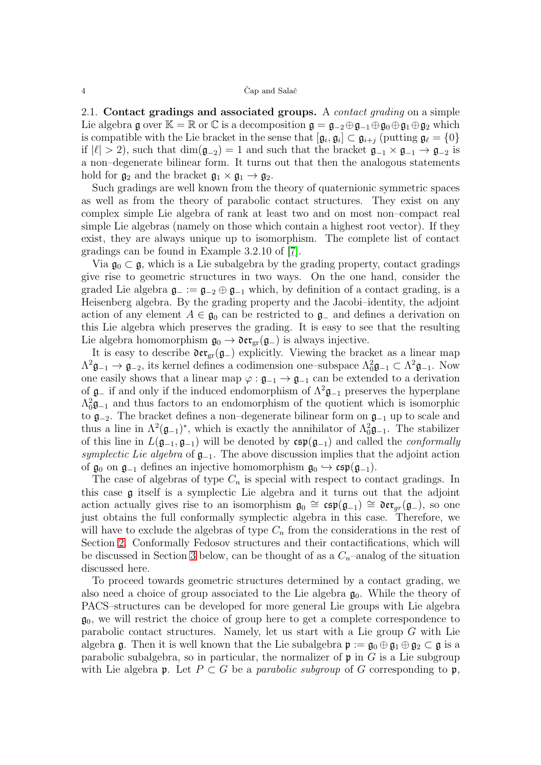2.1. Contact gradings and associated groups. A *contact grading* on a simple Lie algebra g over K = R or C is a decomposition  $\mathfrak{g} = \mathfrak{g}_{-2} \oplus \mathfrak{g}_{-1} \oplus \mathfrak{g}_0 \oplus \mathfrak{g}_1 \oplus \mathfrak{g}_2$  which is compatible with the Lie bracket in the sense that  $[\mathfrak{g}_i, \mathfrak{g}_i] \subset \mathfrak{g}_{i+j}$  (putting  $\mathfrak{g}_\ell = \{0\}$ if  $|\ell| > 2$ , such that  $\dim(\mathfrak{g}_{-2}) = 1$  and such that the bracket  $\mathfrak{g}_{-1} \times \mathfrak{g}_{-1} \to \mathfrak{g}_{-2}$  is a non–degenerate bilinear form. It turns out that then the analogous statements hold for  $\mathfrak{g}_2$  and the bracket  $\mathfrak{g}_1 \times \mathfrak{g}_1 \to \mathfrak{g}_2$ .

Such gradings are well known from the theory of quaternionic symmetric spaces as well as from the theory of parabolic contact structures. They exist on any complex simple Lie algebra of rank at least two and on most non–compact real simple Lie algebras (namely on those which contain a highest root vector). If they exist, they are always unique up to isomorphism. The complete list of contact gradings can be found in Example 3.2.10 of [\[7\]](#page-27-5).

Via  $\mathfrak{g}_0 \subset \mathfrak{g}$ , which is a Lie subalgebra by the grading property, contact gradings give rise to geometric structures in two ways. On the one hand, consider the graded Lie algebra  $\mathfrak{g}_- := \mathfrak{g}_{-2} \oplus \mathfrak{g}_{-1}$  which, by definition of a contact grading, is a Heisenberg algebra. By the grading property and the Jacobi–identity, the adjoint action of any element  $A \in \mathfrak{g}_0$  can be restricted to  $\mathfrak{g}_-$  and defines a derivation on this Lie algebra which preserves the grading. It is easy to see that the resulting Lie algebra homomorphism  $\mathfrak{g}_0 \to \mathfrak{der}_{gr}(\mathfrak{g}_-)$  is always injective.

It is easy to describe  $\mathfrak{der}_{gr}(\mathfrak{g}_-)$  explicitly. Viewing the bracket as a linear map  $\Lambda^2 \mathfrak{g}_{-1} \to \mathfrak{g}_{-2}$ , its kernel defines a codimension one–subspace  $\Lambda_0^2 \mathfrak{g}_{-1} \subset \Lambda^2 \mathfrak{g}_{-1}$ . Now one easily shows that a linear map  $\varphi : \mathfrak{g}_{-1} \to \mathfrak{g}_{-1}$  can be extended to a derivation of  $\mathfrak{g}_-$  if and only if the induced endomorphism of  $\Lambda^2 \mathfrak{g}_{-1}$  preserves the hyperplane  $\Lambda_0^2$ **g**<sub>-1</sub> and thus factors to an endomorphism of the quotient which is isomorphic to g<sup>−</sup>2. The bracket defines a non–degenerate bilinear form on g<sup>−</sup><sup>1</sup> up to scale and thus a line in  $\Lambda^2(\mathfrak{g}_{-1})^*$ , which is exactly the annihilator of  $\Lambda_0^2\mathfrak{g}_{-1}$ . The stabilizer of this line in  $L(\mathfrak{g}_{-1}, \mathfrak{g}_{-1})$  will be denoted by  $c\mathfrak{sp}(\mathfrak{g}_{-1})$  and called the *conformally* symplectic Lie algebra of  $\mathfrak{g}_{-1}$ . The above discussion implies that the adjoint action of  $\mathfrak{g}_0$  on  $\mathfrak{g}_{-1}$  defines an injective homomorphism  $\mathfrak{g}_0 \hookrightarrow \mathfrak{csp}(\mathfrak{g}_{-1}).$ 

The case of algebras of type  $C_n$  is special with respect to contact gradings. In this case g itself is a symplectic Lie algebra and it turns out that the adjoint action actually gives rise to an isomorphism  $\mathfrak{g}_0 \cong \mathfrak{csp}(\mathfrak{g}_{-1}) \cong \mathfrak{der}_{gr}(\mathfrak{g}_{-})$ , so one just obtains the full conformally symplectic algebra in this case. Therefore, we will have to exclude the algebras of type  $C_n$  from the considerations in the rest of Section [2.](#page-2-0) Conformally Fedosov structures and their contactifications, which will be discussed in Section [3](#page-19-1) below, can be thought of as a  $C_n$ -analog of the situation discussed here.

To proceed towards geometric structures determined by a contact grading, we also need a choice of group associated to the Lie algebra  $\mathfrak{g}_0$ . While the theory of PACS–structures can be developed for more general Lie groups with Lie algebra  $\mathfrak{g}_0$ , we will restrict the choice of group here to get a complete correspondence to parabolic contact structures. Namely, let us start with a Lie group G with Lie algebra g. Then it is well known that the Lie subalgebra  $\mathfrak{p} := \mathfrak{g}_0 \oplus \mathfrak{g}_1 \oplus \mathfrak{g}_2 \subset \mathfrak{g}$  is a parabolic subalgebra, so in particular, the normalizer of  $\mathfrak p$  in G is a Lie subgroup with Lie algebra p. Let  $P \subset G$  be a parabolic subgroup of G corresponding to p,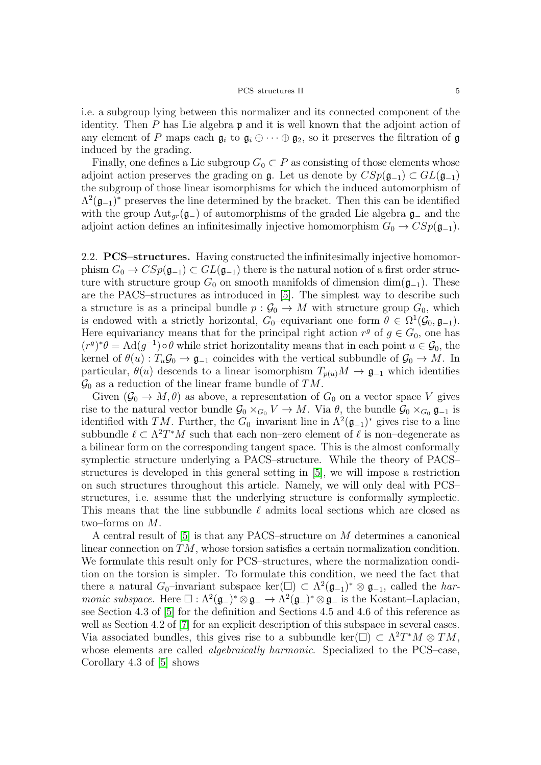i.e. a subgroup lying between this normalizer and its connected component of the identity. Then  $P$  has Lie algebra  $\mathfrak p$  and it is well known that the adjoint action of any element of P maps each  $\mathfrak{g}_i$  to  $\mathfrak{g}_i \oplus \cdots \oplus \mathfrak{g}_2$ , so it preserves the filtration of  $\mathfrak{g}$ induced by the grading.

Finally, one defines a Lie subgroup  $G_0 \subset P$  as consisting of those elements whose adjoint action preserves the grading on  $\mathfrak{g}$ . Let us denote by  $CSp(\mathfrak{g}_{-1}) \subset GL(\mathfrak{g}_{-1})$ the subgroup of those linear isomorphisms for which the induced automorphism of  $\Lambda^2(\mathfrak{g}_{-1})^*$  preserves the line determined by the bracket. Then this can be identified with the group  $Aut_{gr}(\mathfrak{g}_-)$  of automorphisms of the graded Lie algebra  $\mathfrak{g}_-$  and the adjoint action defines an infinitesimally injective homomorphism  $G_0 \to CSp(\mathfrak{g}_{-1})$ .

<span id="page-4-0"></span>2.2. **PCS–structures.** Having constructed the infinitesimally injective homomorphism  $G_0 \to CSp(\mathfrak{g}_{-1}) \subset GL(\mathfrak{g}_{-1})$  there is the natural notion of a first order structure with structure group  $G_0$  on smooth manifolds of dimension dim( $\mathfrak{g}_{-1}$ ). These are the PACS–structures as introduced in [\[5\]](#page-27-2). The simplest way to describe such a structure is as a principal bundle  $p: \mathcal{G}_0 \to M$  with structure group  $G_0$ , which is endowed with a strictly horizontal,  $G_0$ -equivariant one-form  $\theta \in \Omega^1(\mathcal{G}_0, \mathfrak{g}_{-1})$ . Here equivariancy means that for the principal right action  $r<sup>g</sup>$  of  $g \in G_0$ , one has  $(r<sup>g</sup>)^*\theta = \text{Ad}(g^{-1}) \circ \theta$  while strict horizontality means that in each point  $u \in \mathcal{G}_0$ , the kernel of  $\theta(u) : T_u \mathcal{G}_0 \to \mathfrak{g}_{-1}$  coincides with the vertical subbundle of  $\mathcal{G}_0 \to M$ . In particular,  $\theta(u)$  descends to a linear isomorphism  $T_{p(u)}M \to \mathfrak{g}_{-1}$  which identifies  $\mathcal{G}_0$  as a reduction of the linear frame bundle of TM.

Given  $(\mathcal{G}_0 \to M, \theta)$  as above, a representation of  $G_0$  on a vector space V gives rise to the natural vector bundle  $\mathcal{G}_0 \times_{G_0} V \to M$ . Via  $\theta$ , the bundle  $\mathcal{G}_0 \times_{G_0} \mathfrak{g}_{-1}$  is identified with TM. Further, the  $G_0$ –invariant line in  $\Lambda^2(\mathfrak{g}_{-1})^*$  gives rise to a line subbundle  $\ell \subset \Lambda^2 T^*M$  such that each non–zero element of  $\ell$  is non–degenerate as a bilinear form on the corresponding tangent space. This is the almost conformally symplectic structure underlying a PACS–structure. While the theory of PACS– structures is developed in this general setting in [\[5\]](#page-27-2), we will impose a restriction on such structures throughout this article. Namely, we will only deal with PCS– structures, i.e. assume that the underlying structure is conformally symplectic. This means that the line subbundle  $\ell$  admits local sections which are closed as two–forms on M.

A central result of [\[5\]](#page-27-2) is that any PACS–structure on M determines a canonical linear connection on TM, whose torsion satisfies a certain normalization condition. We formulate this result only for PCS–structures, where the normalization condition on the torsion is simpler. To formulate this condition, we need the fact that there a natural  $G_0$ -invariant subspace ker( $\square$ )  $\subset \Lambda^2(\mathfrak{g}_{-1})^* \otimes \mathfrak{g}_{-1}$ , called the *har*monic subspace. Here  $\Box : \Lambda^2(\mathfrak{g}_-)^* \otimes \mathfrak{g}_- \to \Lambda^2(\mathfrak{g}_-)^* \otimes \mathfrak{g}_-$  is the Kostant–Laplacian, see Section 4.3 of [\[5\]](#page-27-2) for the definition and Sections 4.5 and 4.6 of this reference as well as Section 4.2 of [\[7\]](#page-27-5) for an explicit description of this subspace in several cases. Via associated bundles, this gives rise to a subbundle ker( $\Box$ )  $\subset \Lambda^2 T^*M \otimes TM$ , whose elements are called *algebraically harmonic*. Specialized to the PCS–case, Corollary 4.3 of [\[5\]](#page-27-2) shows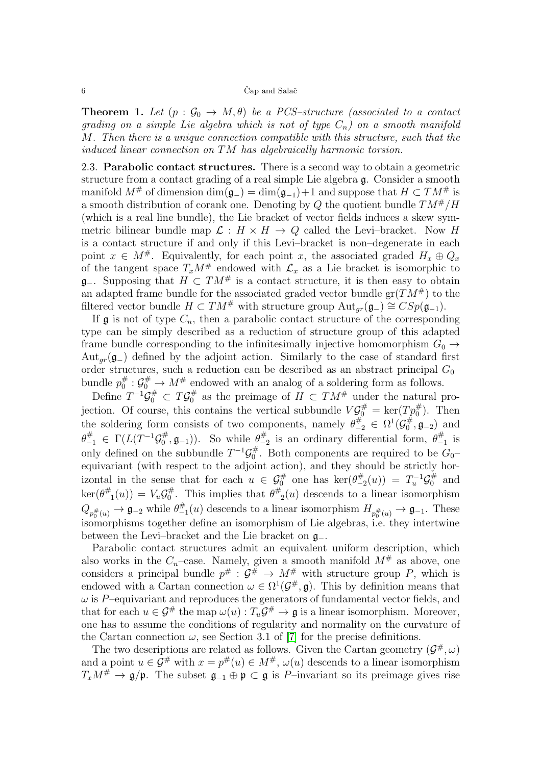### 6 Cap and Salač

<span id="page-5-1"></span>**Theorem 1.** Let  $(p : \mathcal{G}_0 \to M, \theta)$  be a PCS-structure (associated to a contact grading on a simple Lie algebra which is not of type  $C_n$ ) on a smooth manifold M. Then there is a unique connection compatible with this structure, such that the induced linear connection on TM has algebraically harmonic torsion.

<span id="page-5-0"></span>2.3. Parabolic contact structures. There is a second way to obtain a geometric structure from a contact grading of a real simple Lie algebra g. Consider a smooth manifold  $M^{\#}$  of dimension dim( $\mathfrak{g}_-$ ) = dim( $\mathfrak{g}_{-1}$ )+1 and suppose that  $H \subset TM^{\#}$  is a smooth distribution of corank one. Denoting by Q the quotient bundle  $TM^*/H$ (which is a real line bundle), the Lie bracket of vector fields induces a skew symmetric bilinear bundle map  $\mathcal{L}: H \times H \to Q$  called the Levi-bracket. Now H is a contact structure if and only if this Levi–bracket is non–degenerate in each point  $x \in M^{\#}$ . Equivalently, for each point x, the associated graded  $H_x \oplus Q_x$ of the tangent space  $T_xM^{\#}$  endowed with  $\mathcal{L}_x$  as a Lie bracket is isomorphic to g\_. Supposing that  $H \subset TM^{\#}$  is a contact structure, it is then easy to obtain an adapted frame bundle for the associated graded vector bundle  $\text{gr}(TM^{\#})$  to the filtered vector bundle  $H \subset TM^{\#}$  with structure group  $\text{Aut}_{ar}(\mathfrak{g}_{-}) \cong CSp(\mathfrak{g}_{-1}).$ 

If g is not of type  $C_n$ , then a parabolic contact structure of the corresponding type can be simply described as a reduction of structure group of this adapted frame bundle corresponding to the infinitesimally injective homomorphism  $G_0 \rightarrow$ Aut<sub> $ar$ </sub>( $\mathfrak{g}_-$ ) defined by the adjoint action. Similarly to the case of standard first order structures, such a reduction can be described as an abstract principal  $G_0$ bundle  $p_0^{\#}$  $\mathcal{G}_0^{\#}$  :  $\mathcal{G}_0^{\#}$   $\rightarrow$  M<sup>#</sup> endowed with an analog of a soldering form as follows.

Define  $T^{-1}\mathcal{G}_0^{\#} \subset T\mathcal{G}_0^{\#}$  as the preimage of  $H \subset TM^{\#}$  under the natural projection. Of course, this contains the vertical subbundle  $V\mathcal{G}_{0}^{\#} = \text{ker}(T_{p_0^{\#}})$ . Then the soldering form consists of two components, namely  $\theta_{-2}^{\#} \in \Omega^1(\mathcal{G}_0^{\#})$  $\mathfrak{g}_{-2}^{\#}$  and  $\theta_{-1}^{\#} \in \Gamma (L(T^{-1} \mathcal{G}_0^{\#})$  $\phi_0^{\#}, \mathfrak{g}_{-1})$ ). So while  $\theta_{-2}^{\#}$  is an ordinary differential form,  $\theta_{-1}^{\#}$  is only defined on the subbundle  $T^{-1}\mathcal{G}_0^{\#}$  $_{0}^{\#}$ . Both components are required to be  $G_{0}$ equivariant (with respect to the adjoint action), and they should be strictly horizontal in the sense that for each  $u \in \mathcal{G}_0^{\#}$  one has  $\ker(\theta_{-2}^{\#}(u)) = T_u^{-1} \mathcal{G}_0^{\#}$  $\mathbb{I}_0^{\#}$  and  $\ker(\theta_{-1}^{\#}(u)) = V_u \mathcal{G}_0^{\#}$  $\psi_0^{\#}$ . This implies that  $\theta_{-2}^{\#}(u)$  descends to a linear isomorphism  $Q_{p_0^{\#}(u)} \to \mathfrak{g}_{-2}$  while  $\theta^{\#}_{-1}(u)$  descends to a linear isomorphism  $H_{p_0^{\#}(u)} \to \mathfrak{g}_{-1}$ . These isomorphisms together define an isomorphism of Lie algebras, i.e. they intertwine between the Levi–bracket and the Lie bracket on g−.

Parabolic contact structures admit an equivalent uniform description, which also works in the  $C_n$ -case. Namely, given a smooth manifold  $M^{\#}$  as above, one considers a principal bundle  $p^{\#}: \mathcal{G}^{\#} \to M^{\#}$  with structure group P, which is endowed with a Cartan connection  $\omega \in \Omega^1(\mathcal{G}^{\#}, \mathfrak{g})$ . This by definition means that  $\omega$  is P-equivariant and reproduces the generators of fundamental vector fields, and that for each  $u \in \mathcal{G}^{\#}$  the map  $\omega(u) : T_u \mathcal{G}^{\#} \to \mathfrak{g}$  is a linear isomorphism. Moreover, one has to assume the conditions of regularity and normality on the curvature of the Cartan connection  $\omega$ , see Section 3.1 of [\[7\]](#page-27-5) for the precise definitions.

The two descriptions are related as follows. Given the Cartan geometry  $(\mathcal{G}^{\#}, \omega)$ and a point  $u \in \mathcal{G}^{\#}$  with  $x = p^{\#}(u) \in M^{\#}, \omega(u)$  descends to a linear isomorphism  $T_xM^{\#} \to \mathfrak{g}/\mathfrak{p}$ . The subset  $\mathfrak{g}_{-1} \oplus \mathfrak{p} \subset \mathfrak{g}$  is P-invariant so its preimage gives rise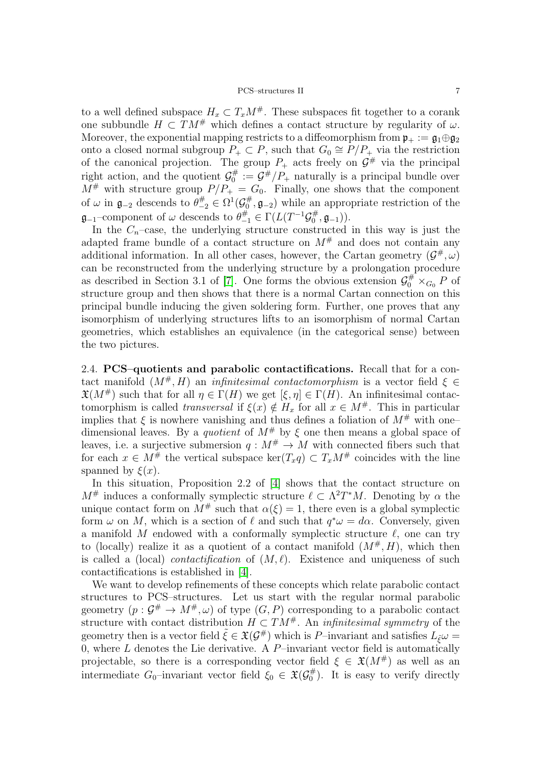### PCS–structures II 7

to a well defined subspace  $H_x \subset T_xM^*$ . These subspaces fit together to a corank one subbundle  $H \subset TM^{\#}$  which defines a contact structure by regularity of  $\omega$ . Moreover, the exponential mapping restricts to a diffeomorphism from  $\mathfrak{p}_+ := \mathfrak{g}_1 \oplus \mathfrak{g}_2$ onto a closed normal subgroup  $P_+ \subset P$ , such that  $G_0 \cong P/P_+$  via the restriction of the canonical projection. The group  $P_+$  acts freely on  $\mathcal{G}^{\#}$  via the principal right action, and the quotient  $\mathcal{G}_0^{\#}$  $\mathcal{G}^{\#}$  :=  $\mathcal{G}^{\#}/P_+$  naturally is a principal bundle over  $M^{\#}$  with structure group  $P/P_{+} = G_0$ . Finally, one shows that the component of  $\omega$  in  $\mathfrak{g}_{-2}$  descends to  $\theta_{-2}^{\#} \in \Omega^1(\mathcal{G}_0^{\#})$  $\langle \mathbf{0}^*, \mathbf{g}_{-2} \rangle$  while an appropriate restriction of the  $\mathfrak{g}_{-1}$ –component of  $\omega$  descends to  $\theta_{-1}^{\#} \in \Gamma(L(T^{-1}\mathcal{G}_{0}^{\#}))$  $\binom{\#}{0}, \mathfrak{g}_{-1})$ ).

In the  $C_n$ -case, the underlying structure constructed in this way is just the adapted frame bundle of a contact structure on  $M^{\#}$  and does not contain any additional information. In all other cases, however, the Cartan geometry  $(\mathcal{G}^{\#}, \omega)$ can be reconstructed from the underlying structure by a prolongation procedure as described in Section 3.1 of [\[7\]](#page-27-5). One forms the obvious extension  $\mathcal{G}_0^{\#} \times_{G_0} P$  of structure group and then shows that there is a normal Cartan connection on this principal bundle inducing the given soldering form. Further, one proves that any isomorphism of underlying structures lifts to an isomorphism of normal Cartan geometries, which establishes an equivalence (in the categorical sense) between the two pictures.

2.4. PCS–quotients and parabolic contactifications. Recall that for a contact manifold  $(M^{\#}, H)$  an *infinitesimal contactomorphism* is a vector field  $\xi \in$  $\mathfrak{X}(M^{\#})$  such that for all  $\eta \in \Gamma(H)$  we get  $[\xi, \eta] \in \Gamma(H)$ . An infinitesimal contactomorphism is called *transversal* if  $\xi(x) \notin H_x$  for all  $x \in M^*$ . This in particular implies that  $\xi$  is nowhere vanishing and thus defines a foliation of  $M^{\#}$  with onedimensional leaves. By a *quotient* of  $M^{\#}$  by  $\xi$  one then means a global space of leaves, i.e. a surjective submersion  $q : M^* \to M$  with connected fibers such that for each  $x \in M^{\#}$  the vertical subspace  $\ker(T_x q) \subset T_x M^{\#}$  coincides with the line spanned by  $\xi(x)$ .

In this situation, Proposition 2.2 of [\[4\]](#page-27-3) shows that the contact structure on  $M^{\#}$  induces a conformally symplectic structure  $\ell \subset \Lambda^2 T^*M$ . Denoting by  $\alpha$  the unique contact form on  $M^*$  such that  $\alpha(\xi) = 1$ , there even is a global symplectic form  $\omega$  on M, which is a section of  $\ell$  and such that  $q^*\omega = d\alpha$ . Conversely, given a manifold M endowed with a conformally symplectic structure  $\ell$ , one can try to (locally) realize it as a quotient of a contact manifold  $(M^{\#}, H)$ , which then is called a (local) *contactification* of  $(M, \ell)$ . Existence and uniqueness of such contactifications is established in [\[4\]](#page-27-3).

We want to develop refinements of these concepts which relate parabolic contact structures to PCS–structures. Let us start with the regular normal parabolic geometry  $(p: \mathcal{G}^{\#} \to M^{\#}, \omega)$  of type  $(G, P)$  corresponding to a parabolic contact structure with contact distribution  $H \subset TM^*$ . An *infinitesimal symmetry* of the geometry then is a vector field  $\tilde{\xi} \in \mathfrak{X}(\mathcal{G}^{\#})$  which is P-invariant and satisfies  $L_{\tilde{\xi}}\omega =$ 0, where  $L$  denotes the Lie derivative. A  $P$ –invariant vector field is automatically projectable, so there is a corresponding vector field  $\xi \in \mathfrak{X}(M^{\#})$  as well as an intermediate  $G_0$ -invariant vector field  $\xi_0 \in \mathfrak{X}(\mathcal{G}_0^{\#})$  $_{0}^{\#}$ ). It is easy to verify directly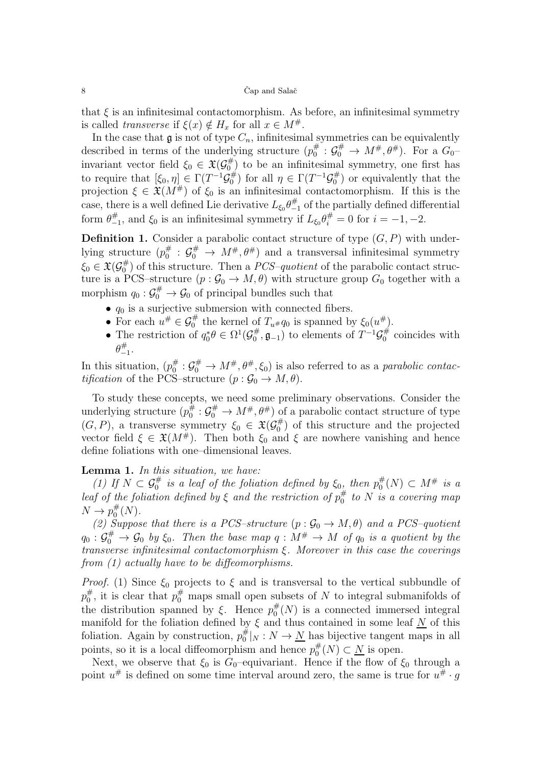that  $\xi$  is an infinitesimal contactomorphism. As before, an infinitesimal symmetry is called *transverse* if  $\xi(x) \notin H_x$  for all  $x \in M^*$ .

In the case that  $\mathfrak g$  is not of type  $C_n$ , infinitesimal symmetries can be equivalently described in terms of the underlying structure  $(p_0^{\#})$  $\frac{\#}{0}: \mathcal{G}^\#_0 \to M^\#, \theta^\#)$ . For a  $G_0$ invariant vector field  $\xi_0 \in \mathfrak{X}(\mathcal{G}_0^{\#})$  $\binom{m}{0}$  to be an infinitesimal symmetry, one first has to require that  $[\xi_0, \eta] \in \Gamma(T^{-1} \mathcal{G}_0^{\#})$  $\eta \in \Gamma(T^{-1}\mathcal{G}_0^{\#})$  for all  $\eta \in \Gamma(T^{-1}\mathcal{G}_0^{\#})$  $\binom{\pi}{0}$  or equivalently that the projection  $\xi \in \mathfrak{X}(M^*)$  of  $\xi_0$  is an infinitesimal contactomorphism. If this is the case, there is a well defined Lie derivative  $L_{\xi_0} \theta_{-1}^{\#}$  of the partially defined differential form  $\theta^{\#}_{-1}$ , and  $\xi_0$  is an infinitesimal symmetry if  $L_{\xi_0} \theta^{\#}_i = 0$  for  $i = -1, -2$ .

**Definition 1.** Consider a parabolic contact structure of type  $(G, P)$  with underlying structure  $(p_0^{\#})$  $\mathcal{G}_0^{\#}$  :  $\mathcal{G}_0^{\#} \to M^{\#}, \theta^{\#}$  and a transversal infinitesimal symmetry  $\xi_0\in\mathfrak{X}(\mathcal{G}_0^\#$  $\binom{\pi}{0}$  of this structure. Then a *PCS-quotient* of the parabolic contact structure is a PCS–structure  $(p : \mathcal{G}_0 \to M, \theta)$  with structure group  $G_0$  together with a morphism  $q_0: \mathcal{G}_0^{\#} \to \mathcal{G}_0$  of principal bundles such that

- $\bullet$   $q_0$  is a surjective submersion with connected fibers.
- For each  $u^{\#} \in \mathcal{G}_{0}^{\#}$  the kernel of  $T_{u^{\#}}q_{0}$  is spanned by  $\xi_{0}(u^{\#})$ .
- The restriction of  $q_0^*$  $_{0}^{\ast}\theta\in\Omega^1(\mathcal{G}_0^\#$  $\mathcal{O}_{0}^{\#}, \mathfrak{g}_{-1})$  to elements of  $T^{-1} \mathcal{G}_{0}^{\#}$  $\frac{\pi}{0}$  coincides with  $\theta_{-1}^{\#}$ .

In this situation,  $(p_0^{\#})$  $\frac{\#}{0}: \mathcal{G}_0^{\#} \to M^{\#}, \theta^{\#}, \xi_0$  is also referred to as a parabolic contac*tification* of the PCS–structure  $(p: \mathcal{G}_0 \to M, \theta)$ .

To study these concepts, we need some preliminary observations. Consider the underlying structure  $(p_0^{\#})$  $\phi_0^{\#}: \mathcal{G}_0^{\#} \to M^{\#}, \theta^{\#})$  of a parabolic contact structure of type  $(G, P)$ , a transverse symmetry  $\xi_0 \in \mathfrak{X}(\mathcal{G}_0^{\#})$  $\binom{\pi}{0}$  of this structure and the projected vector field  $\xi \in \mathfrak{X}(M^{\#})$ . Then both  $\xi_0$  and  $\xi$  are nowhere vanishing and hence define foliations with one–dimensional leaves.

# <span id="page-7-0"></span>Lemma 1. In this situation, we have:

(1) If  $N \subset \mathcal{G}_0^{\#}$  is a leaf of the foliation defined by  $\xi_0$ , then  $p_0^{\#}$  $_0^{\#}(N) \subset M^{\#}$  is a leaf of the foliation defined by  $\xi$  and the restriction of  $p_0^{\#}$  $_{0}^{\#}$  to  $N$  is a covering map  $N \to p_0^{\#}$  $_{0}^{\#}(N).$ 

(2) Suppose that there is a PCS–structure  $(p: \mathcal{G}_0 \to M, \theta)$  and a PCS–quotient  $q_0: \mathcal{G}_0^{\#} \to \mathcal{G}_0$  by  $\xi_0$ . Then the base map  $q: M^{\#} \to M$  of  $q_0$  is a quotient by the transverse infinitesimal contactomorphism ξ. Moreover in this case the coverings from (1) actually have to be diffeomorphisms.

*Proof.* (1) Since  $\xi_0$  projects to  $\xi$  and is transversal to the vertical subbundle of  $p_0^\#$  $_{0}^{\#}$ , it is clear that  $p_{0}^{\#}$  maps small open subsets of N to integral submanifolds of the distribution spanned by  $\xi$ . Hence  $p_0^{\#}$  $_{0}^{\#}(N)$  is a connected immersed integral manifold for the foliation defined by  $\xi$  and thus contained in some leaf  $\underline{N}$  of this foliation. Again by construction,  $p_0^{\#}$  $\frac{\pi}{0}|_N: N \to \underline{N}$  has bijective tangent maps in all points, so it is a local diffeomorphism and hence  $p_0^{\#}(N) \subset \underline{N}$  is open.

Thus, so it is a local diffeomorphism and hence  $p_0(N) \subset \underline{N}$  is open.<br>Next, we observe that  $\xi_0$  is  $G_0$ -equivariant. Hence if the flow of  $\xi_0$  through a point  $u^{\#}$  is defined on some time interval around zero, the same is true for  $u^{\#} \cdot g$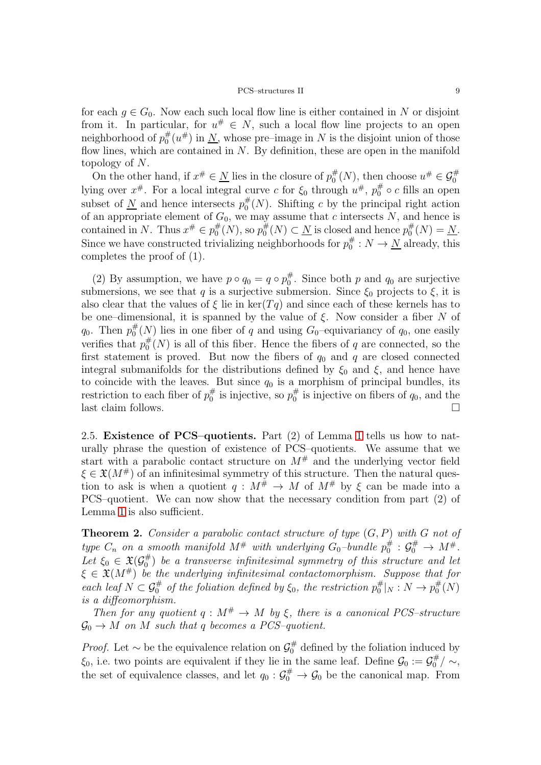for each  $g \in G_0$ . Now each such local flow line is either contained in N or disjoint from it. In particular, for  $u^{\#} \in N$ , such a local flow line projects to an open neighborhood of  $p_0^\#$  $\frac{\#}{0}(u^{\#})$  in <u>N</u>, whose pre–image in N is the disjoint union of those flow lines, which are contained in  $N$ . By definition, these are open in the manifold topology of N.

On the other hand, if  $x^{\#} \in \underline{N}$  lies in the closure of  $p_0^{\#}$  $_{0}^{\#}(N)$ , then choose  $u^{\#} \in \mathcal{G}_{0}^{\#}$ lying over  $x^{\#}$ . For a local integral curve c for  $\xi_0$  through  $u^{\#}$ ,  $p_0^{\#} \circ c$  fills an open subset of <u>N</u> and hence intersects  $p_0^{\#}$  $_{0}^{\#}(N)$ . Shifting c by the principal right action of an appropriate element of  $G_0$ , we may assume that c intersects N, and hence is contained in N. Thus  $x^{\#} \in p_0^{\#}$  $\frac{\#}{0}(N)$ , so  $p_0^{\#}$  $\frac{\#}{0}(N) \subset \underline{N}$  is closed and hence  $p_0^{\#}$  $_{0}^{\#}(N) = N.$ Since we have constructed trivializing neighborhoods for  $p_0^{\#}$  $_0^{\#}: N \to \underline{N}$  already, this completes the proof of (1).

(2) By assumption, we have  $p \circ q_0 = q \circ p_0^{\#}$  $_{0}^{\#}$ . Since both p and  $q_{0}$  are surjective submersions, we see that q is a surjective submersion. Since  $\xi_0$  projects to  $\xi$ , it is also clear that the values of  $\xi$  lie in ker(Tq) and since each of these kernels has to be one-dimensional, it is spanned by the value of  $\xi$ . Now consider a fiber N of  $q_0$ . Then  $p_0^{\#}$  $_{0}^{\#}(N)$  lies in one fiber of q and using  $G_{0}$ -equivariancy of  $q_{0}$ , one easily verifies that  $p_0^{\#}$  $_{0}^{\#}(N)$  is all of this fiber. Hence the fibers of q are connected, so the first statement is proved. But now the fibers of  $q_0$  and q are closed connected integral submanifolds for the distributions defined by  $\xi_0$  and  $\xi$ , and hence have to coincide with the leaves. But since  $q_0$  is a morphism of principal bundles, its restriction to each fiber of  $p_0^{\#}$  $\frac{\#}{0}$  is injective, so  $p_0^{\#}$  $\frac{\pi}{0}$  is injective on fibers of  $q_0$ , and the last claim follows.  $\Box$ 

2.5. Existence of PCS–quotients. Part (2) of Lemma [1](#page-7-0) tells us how to naturally phrase the question of existence of PCS–quotients. We assume that we start with a parabolic contact structure on  $M^{\#}$  and the underlying vector field  $\xi \in \mathfrak{X}(M^*)$  of an infinitesimal symmetry of this structure. Then the natural question to ask is when a quotient  $q : M^{\#} \to M$  of  $M^{\#}$  by  $\xi$  can be made into a PCS–quotient. We can now show that the necessary condition from part (2) of Lemma [1](#page-7-0) is also sufficient.

<span id="page-8-0"></span>**Theorem 2.** Consider a parabolic contact structure of type  $(G, P)$  with G not of type  $C_n$  on a smooth manifold  $M^{\#}$  with underlying  $G_0$ -bundle  $p_0^{\#}$  $\frac{\#}{0}: \mathcal{G}_0^{\#} \to M^{\#}.$ Let  $\xi_0 \in \mathfrak{X}(\mathcal{G}_0^{\#})$  $_0^\#$ ) be a transverse infinitesimal symmetry of this structure and let  $\xi \in \mathfrak{X}(M^{\#})$  be the underlying infinitesimal contactomorphism. Suppose that for each leaf  $N \subset \mathcal{G}_0^{\#}$  of the foliation defined by  $\xi_0$ , the restriction  $p_0^{\#}$  $_{0}^{\#}|_{N}:N\rightarrow p_{0}^{\#}$  $^{\#}_0(N)$ is a diffeomorphism.

Then for any quotient  $q : M^* \to M$  by  $\xi$ , there is a canonical PCS–structure  $\mathcal{G}_0 \to M$  on M such that q becomes a PCS–quotient.

*Proof.* Let ~ be the equivalence relation on  $\mathcal{G}_0^{\#}$  defined by the foliation induced by  $\xi_0$ , i.e. two points are equivalent if they lie in the same leaf. Define  $\mathcal{G}_0 := \mathcal{G}_0^{\#}$  $_0^{\#}/\sim,$ the set of equivalence classes, and let  $q_0: \mathcal{G}_0^{\#} \to \mathcal{G}_0$  be the canonical map. From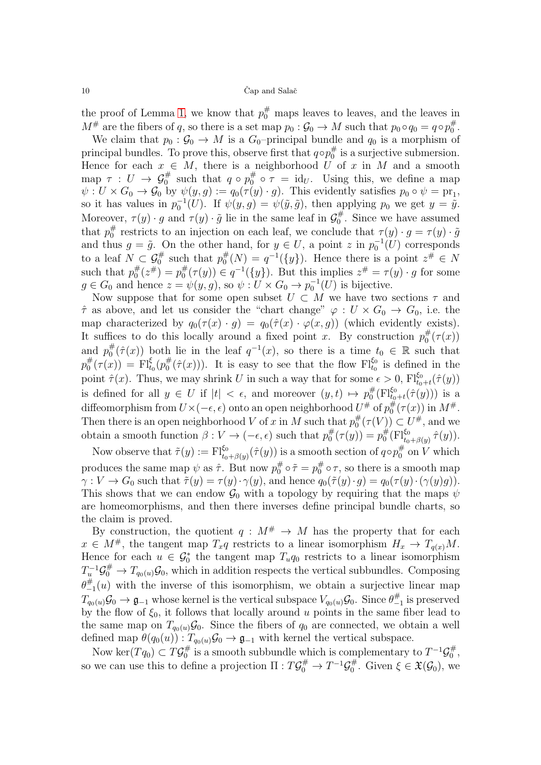the proof of Lemma [1,](#page-7-0) we know that  $p_0^{\#}$  maps leaves to leaves, and the leaves in  $M^{\#}$  are the fibers of q, so there is a set map  $p_0: \mathcal{G}_0 \to M$  such that  $p_0 \circ q_0 = q \circ p_0^{\#}$ #<br>0・

We claim that  $p_0 : \mathcal{G}_0 \to M$  is a  $G_0$ -principal bundle and  $q_0$  is a morphism of principal bundles. To prove this, observe first that  $q \circ p_0^{\#}$  $_{0}^{\#}$  is a surjective submersion. Hence for each  $x \in M$ , there is a neighborhood U of x in M and a smooth map  $\tau : U \to \mathcal{G}_0^{\#}$  such that  $q \circ p_0^{\#} \circ \tau = id_U$ . Using this, we define a map  $\psi: U \times G_0 \to \mathcal{G}_0$  by  $\psi(y,g) := q_0(\tau(y) \cdot g)$ . This evidently satisfies  $p_0 \circ \psi = \text{pr}_1$ , so it has values in  $p_0^{-1}(U)$ . If  $\psi(y,g) = \psi(\tilde{y}, \tilde{g})$ , then applying  $p_0$  we get  $y = \tilde{y}$ . Moreover,  $\tau(y) \cdot g$  and  $\tau(y) \cdot \tilde{g}$  lie in the same leaf in  $\mathcal{G}_0^{\#}$  $_{0}^{\#}$ . Since we have assumed that  $p_0^{\#}$  $\frac{\pi}{0}$  restricts to an injection on each leaf, we conclude that  $\tau(y) \cdot g = \tau(y) \cdot \tilde{g}$ and thus  $g = \tilde{g}$ . On the other hand, for  $y \in U$ , a point z in  $p_0^{-1}(U)$  corresponds to a leaf  $N \subset \mathcal{G}_0^{\#}$  such that  $p_0^{\#}$  $_{0}^{\#}(N) = q^{-1}(\lbrace y \rbrace)$ . Hence there is a point  $z^{\#} \in N$ such that  $p_0^{\#}$  $_{0}^{\#}(z^{\#})=p_{0}^{\#}$  $_{0}^{\#}(\tau(y)) \in q^{-1}(\{y\}).$  But this implies  $z^{\#} = \tau(y) \cdot g$  for some  $g \in G_0$  and hence  $z = \psi(y, g)$ , so  $\psi : U \times G_0 \to p_0^{-1}(U)$  is bijective.

Now suppose that for some open subset  $U \subset M$  we have two sections  $\tau$  and  $\hat{\tau}$  as above, and let us consider the "chart change"  $\varphi : U \times G_0 \to G_0$ , i.e. the map characterized by  $q_0(\tau(x) \cdot g) = q_0(\hat{\tau}(x) \cdot \varphi(x, g))$  (which evidently exists). It suffices to do this locally around a fixed point x. By construction  $p_0^{\#}$  $_{0}^{\#}(\tau(x))$ and  $p_0^{\#}$  $_{0}^{\#}(\hat{\tau}(x))$  both lie in the leaf  $q^{-1}(x)$ , so there is a time  $t_0 \in \mathbb{R}$  such that  $p_0^{\#}$  $\frac{\#}{0}(\tau(x)) = \mathrm{Fl}^\xi_{t_0}(p_0^{\#})$  $_{0}^{\#}(\hat{\tau}(x))$ ). It is easy to see that the flow  $\mathrm{Fl}^{\xi_{0}}_{t_{0}}$  is defined in the point  $\hat{\tau}(x)$ . Thus, we may shrink U in such a way that for some  $\epsilon > 0$ ,  $\text{Fl}^{\xi_0}_{t_0+t}(\hat{\tau}(y))$ is defined for all  $y \in U$  if  $|t| < \epsilon$ , and moreover  $(y, t) \mapsto p_0^{\#}$  $_{0}^{\#}(\mathrm{Fl}_{t_{0}+t}^{\xi_{0}}(\hat{\tau}(y)))$  is a diffeomorphism from  $U \times (-\epsilon, \epsilon)$  onto an open neighborhood  $U^{\#}$  of  $p_0^{\#}$  $_{0}^{\#}(\tau(x))$  in  $M^{\#}.$ Then there is an open neighborhood V of x in M such that  $p_0^{\#}$  $_0^{\#}(\tau(V)) \subset U^{\#}$ , and we obtain a smooth function  $\beta: V \to (-\epsilon, \epsilon)$  such that  $p_0^{\#}$  $p_0^{\#}(\tau(y)) = p_0^{\#}$  $_{0}^{\#}(\mathrm{Fl}_{t_{0}+\beta(y)}^{\xi_{0}}\hat{\tau}(y)).$ 

Now observe that  $\tilde{\tau}(y) := \mathrm{Fl}^{\xi_0}_{t_0+\beta(y)}(\hat{\tau}(y))$  is a smooth section of  $q \circ p_0^{\#}$  $_0^{\#}$  on V which produces the same map  $\psi$  as  $\hat{\tau}$ . But now  $p_0^{\#} \circ \tilde{\tau} = p_0^{\#} \circ \tau$ , so there is a smooth map  $\gamma: V \to G_0$  such that  $\tilde{\tau}(y) = \tau(y) \cdot \gamma(y)$ , and hence  $q_0(\tilde{\tau}(y) \cdot g) = q_0(\tau(y) \cdot (\gamma(y)g))$ . This shows that we can endow  $\mathcal{G}_0$  with a topology by requiring that the maps  $\psi$ are homeomorphisms, and then there inverses define principal bundle charts, so the claim is proved.

By construction, the quotient  $q : M^{\#} \to M$  has the property that for each  $x \in M^{\#}$ , the tangent map  $T_x q$  restricts to a linear isomorphism  $H_x \to T_{q(x)}M$ . Hence for each  $u \in \mathcal{G}_0^*$  the tangent map  $T_u q_0$  restricts to a linear isomorphism  $T_u^{-1} \mathcal{G}_0^{\#} \to T_{q_0(u)} \mathcal{G}_0$ , which in addition respects the vertical subbundles. Composing  $\theta^{\#}_{-1}(u)$  with the inverse of this isomorphism, we obtain a surjective linear map  $T_{q_0(u)}\mathcal{G}_0 \to \mathfrak{g}_{-1}$  whose kernel is the vertical subspace  $V_{q_0(u)}\mathcal{G}_0$ . Since  $\theta_{-1}^{\#}$  is preserved by the flow of  $\xi_0$ , it follows that locally around u points in the same fiber lead to the same map on  $T_{q_0(u)}\mathcal{G}_0$ . Since the fibers of  $q_0$  are connected, we obtain a well defined map  $\theta(q_0(u))$ :  $T_{q_0(u)}\mathcal{G}_0 \to \mathfrak{g}_{-1}$  with kernel the vertical subspace.

Now ker $(Tq_0) \subset T\mathcal{G}_0^{\#}$  $\frac{\#}{0}$  is a smooth subbundle which is complementary to  $T^{-1}\mathcal{G}_0^{\#}$  $_0^\#,$ so we can use this to define a projection  $\Pi: T\mathcal{G}_0^{\#} \to T^{-1}\mathcal{G}_0^{\#}$  $_0^{\#}$ . Given  $\xi \in \mathfrak{X}(\mathcal{G}_0)$ , we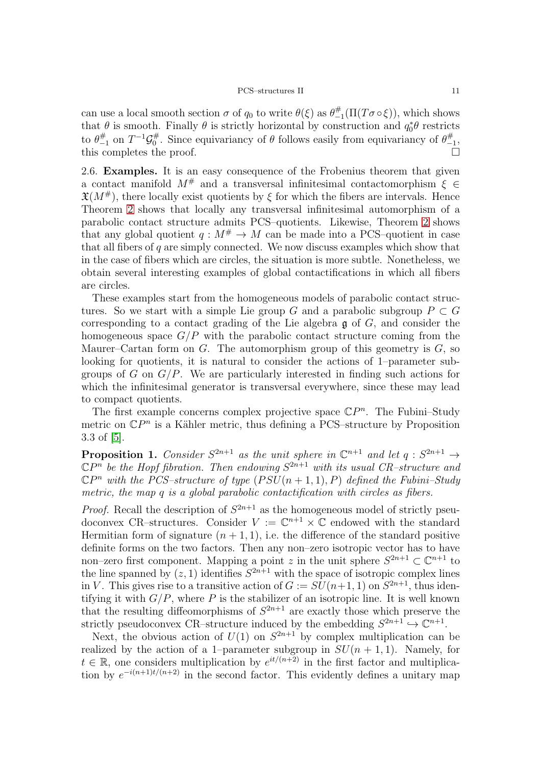### $PCS-structures II$  11

can use a local smooth section  $\sigma$  of  $q_0$  to write  $\theta(\xi)$  as  $\theta^{\#}_{-1}(\Pi(T\sigma \circ \xi))$ , which shows that  $\theta$  is smooth. Finally  $\theta$  is strictly horizontal by construction and  $q_0^*$  $\int_0^{\ast} \theta$  restricts to  $\theta_{-1}^{\#}$  on  $T^{-1}\mathcal{G}_0^{\#}$  $_{0}^{\#}$ . Since equivariancy of  $\theta$  follows easily from equivariancy of  $\theta_{-1}^{\#}$ , this completes the proof.

<span id="page-10-0"></span>2.6. Examples. It is an easy consequence of the Frobenius theorem that given a contact manifold  $M^{\#}$  and a transversal infinitesimal contactomorphism  $\xi \in$  $\mathfrak{X}(M^{\#})$ , there locally exist quotients by  $\xi$  for which the fibers are intervals. Hence Theorem [2](#page-8-0) shows that locally any transversal infinitesimal automorphism of a parabolic contact structure admits PCS–quotients. Likewise, Theorem [2](#page-8-0) shows that any global quotient  $q : M^* \to M$  can be made into a PCS–quotient in case that all fibers of  $q$  are simply connected. We now discuss examples which show that in the case of fibers which are circles, the situation is more subtle. Nonetheless, we obtain several interesting examples of global contactifications in which all fibers are circles.

These examples start from the homogeneous models of parabolic contact structures. So we start with a simple Lie group G and a parabolic subgroup  $P \subset G$ corresponding to a contact grading of the Lie algebra  $\mathfrak g$  of  $G$ , and consider the homogeneous space  $G/P$  with the parabolic contact structure coming from the Maurer–Cartan form on  $G$ . The automorphism group of this geometry is  $G$ , so looking for quotients, it is natural to consider the actions of 1–parameter subgroups of  $G$  on  $G/P$ . We are particularly interested in finding such actions for which the infinitesimal generator is transversal everywhere, since these may lead to compact quotients.

The first example concerns complex projective space  $\mathbb{C}P^n$ . The Fubini-Study metric on  $\mathbb{C}P^n$  is a Kähler metric, thus defining a PCS–structure by Proposition 3.3 of [\[5\]](#page-27-2).

**Proposition 1.** Consider  $S^{2n+1}$  as the unit sphere in  $\mathbb{C}^{n+1}$  and let  $q: S^{2n+1} \to$  $\mathbb{C}P^n$  be the Hopf fibration. Then endowing  $S^{2n+1}$  with its usual CR-structure and  $\mathbb{C}P^{n}$  with the PCS-structure of type  $(PSU(n+1,1), P)$  defined the Fubini-Study metric, the map q is a global parabolic contactification with circles as fibers.

*Proof.* Recall the description of  $S^{2n+1}$  as the homogeneous model of strictly pseudoconvex CR-structures. Consider  $V := \mathbb{C}^{n+1} \times \mathbb{C}$  endowed with the standard Hermitian form of signature  $(n + 1, 1)$ , i.e. the difference of the standard positive definite forms on the two factors. Then any non–zero isotropic vector has to have non–zero first component. Mapping a point z in the unit sphere  $S^{2n+1} \subset \mathbb{C}^{n+1}$  to the line spanned by  $(z, 1)$  identifies  $S^{2n+1}$  with the space of isotropic complex lines in V. This gives rise to a transitive action of  $G := SU(n+1, 1)$  on  $S^{2n+1}$ , thus identifying it with  $G/P$ , where P is the stabilizer of an isotropic line. It is well known that the resulting diffeomorphisms of  $S^{2n+1}$  are exactly those which preserve the strictly pseudoconvex CR-structure induced by the embedding  $S^{2n+1} \hookrightarrow \mathbb{C}^{n+1}$ .

Next, the obvious action of  $U(1)$  on  $S^{2n+1}$  by complex multiplication can be realized by the action of a 1–parameter subgroup in  $SU(n + 1, 1)$ . Namely, for  $t \in \mathbb{R}$ , one considers multiplication by  $e^{it/(n+2)}$  in the first factor and multiplication by  $e^{-i(n+1)t/(n+2)}$  in the second factor. This evidently defines a unitary map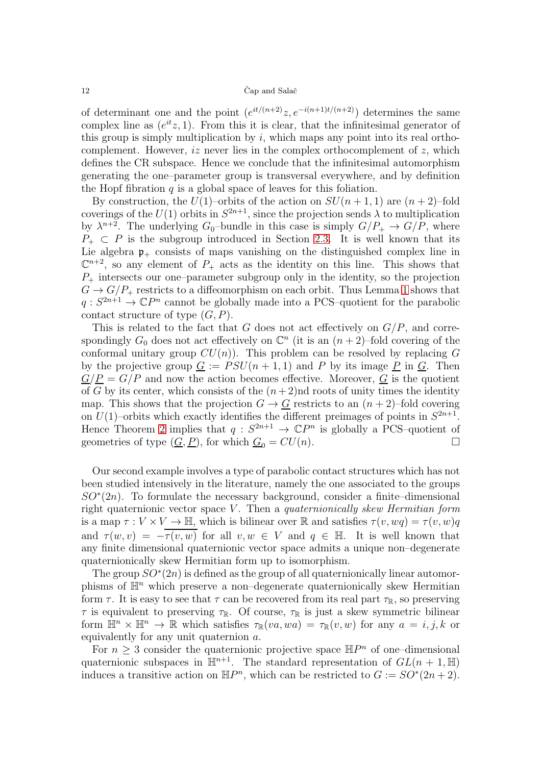## $\check{\mathrm{Cap}}$  and Sala $\check{\mathrm{Cap}}$  and Sala $\check{\mathrm{Cap}}$

of determinant one and the point  $(e^{it/(n+2)}z, e^{-i(n+1)t/(n+2)})$  determines the same complex line as  $(e^{it}z, 1)$ . From this it is clear, that the infinitesimal generator of this group is simply multiplication by  $i$ , which maps any point into its real orthocomplement. However, iz never lies in the complex orthocomplement of  $z$ , which defines the CR subspace. Hence we conclude that the infinitesimal automorphism generating the one–parameter group is transversal everywhere, and by definition the Hopf fibration  $q$  is a global space of leaves for this foliation.

By construction, the  $U(1)$ –orbits of the action on  $SU(n+1,1)$  are  $(n+2)$ –fold coverings of the  $U(1)$  orbits in  $S^{2n+1}$ , since the projection sends  $\lambda$  to multiplication by  $\lambda^{n+2}$ . The underlying  $G_0$ -bundle in this case is simply  $G/P_+ \to G/P$ , where  $P_+ \subset P$  is the subgroup introduced in Section [2.3.](#page-5-0) It is well known that its Lie algebra  $\mathfrak{p}_+$  consists of maps vanishing on the distinguished complex line in  $\mathbb{C}^{n+2}$ , so any element of  $P_+$  acts as the identity on this line. This shows that  $P_+$  intersects our one–parameter subgroup only in the identity, so the projection  $G \to G/P_+$  restricts to a diffeomorphism on each orbit. Thus Lemma [1](#page-7-0) shows that  $q: S^{2n+1} \to \mathbb{C}P^n$  cannot be globally made into a PCS-quotient for the parabolic contact structure of type  $(G, P)$ .

This is related to the fact that G does not act effectively on  $G/P$ , and correspondingly  $G_0$  does not act effectively on  $\mathbb{C}^n$  (it is an  $(n+2)$ -fold covering of the conformal unitary group  $CU(n)$ . This problem can be resolved by replacing G by the projective group  $G := PSU(n + 1, 1)$  and P by its image P in G. Then  $G/P = G/P$  and now the action becomes effective. Moreover, G is the quotient of G by its center, which consists of the  $(n+2)$ nd roots of unity times the identity map. This shows that the projection  $G \to G$  restricts to an  $(n+2)$ –fold covering on  $U(1)$ -orbits which exactly identifies the different preimages of points in  $S^{2n+1}$ . Hence Theorem [2](#page-8-0) implies that  $q: S^{2n+1} \to \mathbb{C}P^n$  is globally a PCS-quotient of geometries of type  $(\underline{G}, \underline{P})$ , for which  $\underline{G}_0 = CU(n)$ .

Our second example involves a type of parabolic contact structures which has not been studied intensively in the literature, namely the one associated to the groups  $SO<sup>*</sup>(2n)$ . To formulate the necessary background, consider a finite–dimensional right quaternionic vector space  $V$ . Then a *quaternionically skew Hermitian form* is a map  $\tau : V \times V \to \mathbb{H}$ , which is bilinear over R and satisfies  $\tau(v, wq) = \tau(v, w)q$ and  $\tau(w, v) = -\overline{\tau(v, w)}$  for all  $v, w \in V$  and  $q \in \mathbb{H}$ . It is well known that any finite dimensional quaternionic vector space admits a unique non–degenerate quaternionically skew Hermitian form up to isomorphism.

The group  $SO^*(2n)$  is defined as the group of all quaternionically linear automorphisms of  $\mathbb{H}^n$  which preserve a non-degenerate quaternionically skew Hermitian form  $\tau$ . It is easy to see that  $\tau$  can be recovered from its real part  $\tau_{\mathbb{R}}$ , so preserving  $\tau$  is equivalent to preserving  $\tau_{\mathbb{R}}$ . Of course,  $\tau_{\mathbb{R}}$  is just a skew symmetric bilinear form  $\mathbb{H}^n \times \mathbb{H}^n \to \mathbb{R}$  which satisfies  $\tau_{\mathbb{R}}(va, wa) = \tau_{\mathbb{R}}(v, w)$  for any  $a = i, j, k$  or equivalently for any unit quaternion a.

For  $n \geq 3$  consider the quaternionic projective space  $\mathbb{H}P^n$  of one-dimensional quaternionic subspaces in  $\mathbb{H}^{n+1}$ . The standard representation of  $GL(n+1,\mathbb{H})$ induces a transitive action on  $\mathbb{H}P^n$ , which can be restricted to  $G := SO^*(2n+2)$ .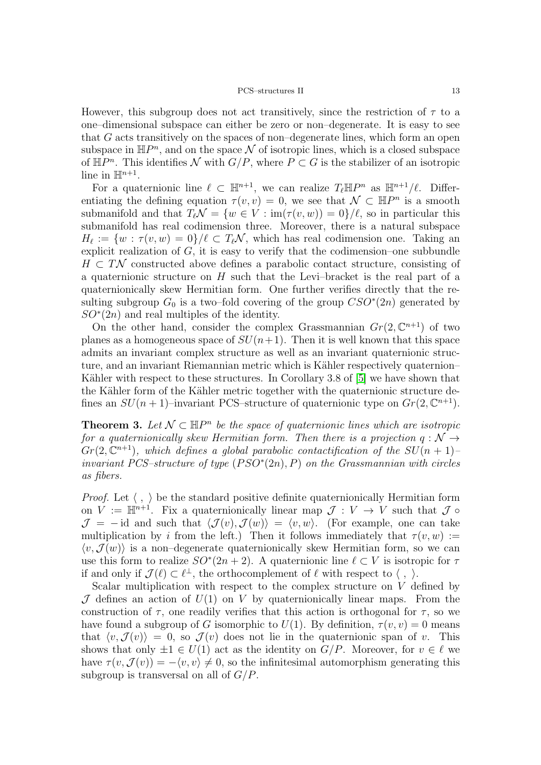#### PCS–structures II 13

However, this subgroup does not act transitively, since the restriction of  $\tau$  to a one–dimensional subspace can either be zero or non–degenerate. It is easy to see that G acts transitively on the spaces of non–degenerate lines, which form an open subspace in  $\mathbb{H}P^n$ , and on the space N of isotropic lines, which is a closed subspace of  $\mathbb{H}P^n$ . This identifies N with  $G/P$ , where  $P \subset G$  is the stabilizer of an isotropic line in  $\mathbb{H}^{n+1}$ .

For a quaternionic line  $\ell \subset \mathbb{H}^{n+1}$ , we can realize  $T_{\ell} \mathbb{H}P^n$  as  $\mathbb{H}^{n+1}/\ell$ . Differentiating the defining equation  $\tau(v, v) = 0$ , we see that  $\mathcal{N} \subset \mathbb{H}P^n$  is a smooth submanifold and that  $T_{\ell} \mathcal{N} = \{w \in V : \text{im}(\tau(v, w)) = 0\} / \ell$ , so in particular this submanifold has real codimension three. Moreover, there is a natural subspace  $H_{\ell} := \{w : \tau(v, w) = 0\} / \ell \subset T_{\ell} \mathcal{N}$ , which has real codimension one. Taking an explicit realization of  $G$ , it is easy to verify that the codimension–one subbundle  $H \subset T\mathcal{N}$  constructed above defines a parabolic contact structure, consisting of a quaternionic structure on H such that the Levi–bracket is the real part of a quaternionically skew Hermitian form. One further verifies directly that the resulting subgroup  $G_0$  is a two–fold covering of the group  $CSO^*(2n)$  generated by  $SO<sup>*</sup>(2n)$  and real multiples of the identity.

On the other hand, consider the complex Grassmannian  $Gr(2, \mathbb{C}^{n+1})$  of two planes as a homogeneous space of  $SU(n+1)$ . Then it is well known that this space admits an invariant complex structure as well as an invariant quaternionic structure, and an invariant Riemannian metric which is Kähler respectively quaternion– Kähler with respect to these structures. In Corollary 3.8 of [\[5\]](#page-27-2) we have shown that the Kähler form of the Kähler metric together with the quaternionic structure defines an  $SU(n + 1)$ -invariant PCS-structure of quaternionic type on  $Gr(2, \mathbb{C}^{n+1})$ .

<span id="page-12-0"></span>**Theorem 3.** Let  $N \subset \mathbb{H}P^n$  be the space of quaternionic lines which are isotropic for a quaternionically skew Hermitian form. Then there is a projection  $q : \mathcal{N} \to$  $Gr(2, \mathbb{C}^{n+1})$ , which defines a global parabolic contactification of the  $SU(n+1)$ invariant  $\hat{PCS}$ -structure of type  $\hat{(PSO^*(2n), P)}$  on the Grassmannian with circles as fibers.

*Proof.* Let  $\langle , \rangle$  be the standard positive definite quaternionically Hermitian form on  $V := \mathbb{H}^{n+1}$ . Fix a quaternionically linear map  $\mathcal{J} : V \to V$  such that  $\mathcal{J} \circ$  $\mathcal{J} = -id$  and such that  $\langle \mathcal{J}(v), \mathcal{J}(w) \rangle = \langle v, w \rangle$ . (For example, one can take multiplication by i from the left.) Then it follows immediately that  $\tau(v, w) :=$  $\langle v, \mathcal{J}(w) \rangle$  is a non–degenerate quaternionically skew Hermitian form, so we can use this form to realize  $SO^*(2n+2)$ . A quaternionic line  $\ell \subset V$  is isotropic for  $\tau$ if and only if  $\mathcal{J}(\ell) \subset \ell^{\perp}$ , the orthocomplement of  $\ell$  with respect to  $\langle , \rangle$ .

Scalar multiplication with respect to the complex structure on V defined by  $J$  defines an action of  $U(1)$  on V by quaternionically linear maps. From the construction of  $\tau$ , one readily verifies that this action is orthogonal for  $\tau$ , so we have found a subgroup of G isomorphic to  $U(1)$ . By definition,  $\tau(v, v) = 0$  means that  $\langle v, \mathcal{J}(v) \rangle = 0$ , so  $\mathcal{J}(v)$  does not lie in the quaternionic span of v. This shows that only  $\pm 1 \in U(1)$  act as the identity on  $G/P$ . Moreover, for  $v \in \ell$  we have  $\tau(v, \mathcal{J}(v)) = -\langle v, v \rangle \neq 0$ , so the infinitesimal automorphism generating this subgroup is transversal on all of  $G/P$ .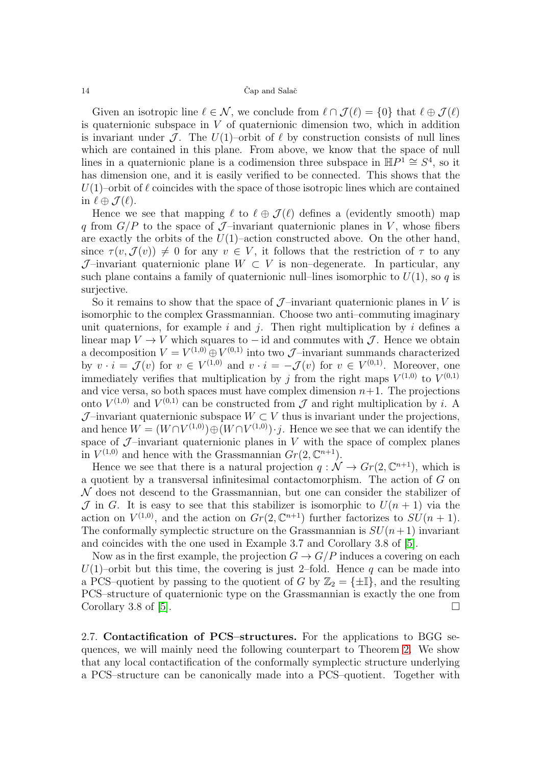## 14 Čap and Salač

Given an isotropic line  $\ell \in \mathcal{N}$ , we conclude from  $\ell \cap \mathcal{J}(\ell) = \{0\}$  that  $\ell \oplus \mathcal{J}(\ell)$ is quaternionic subspace in  $V$  of quaternionic dimension two, which in addition is invariant under J. The  $U(1)$ –orbit of  $\ell$  by construction consists of null lines which are contained in this plane. From above, we know that the space of null lines in a quaternionic plane is a codimension three subspace in  $\mathbb{H}P^1 \cong S^4$ , so it has dimension one, and it is easily verified to be connected. This shows that the  $U(1)$ –orbit of  $\ell$  coincides with the space of those isotropic lines which are contained in  $\ell \oplus \mathcal{J}(\ell)$ .

Hence we see that mapping  $\ell$  to  $\ell \oplus \mathcal{J}(\ell)$  defines a (evidently smooth) map q from  $G/P$  to the space of  $\mathcal{J}$ -invariant quaternionic planes in V, whose fibers are exactly the orbits of the  $U(1)$ –action constructed above. On the other hand, since  $\tau(v, \mathcal{J}(v)) \neq 0$  for any  $v \in V$ , it follows that the restriction of  $\tau$  to any  $\mathcal{J}$ -invariant quaternionic plane  $W \subset V$  is non-degenerate. In particular, any such plane contains a family of quaternionic null–lines isomorphic to  $U(1)$ , so q is surjective.

So it remains to show that the space of  $\mathcal{J}$ -invariant quaternionic planes in V is isomorphic to the complex Grassmannian. Choose two anti–commuting imaginary unit quaternions, for example  $i$  and  $j$ . Then right multiplication by  $i$  defines a linear map  $V \to V$  which squares to – id and commutes with  $\mathcal{J}$ . Hence we obtain a decomposition  $V = V^{(1,0)} \oplus V^{(0,1)}$  into two  $\mathcal{J}$ -invariant summands characterized by  $v \cdot i = \mathcal{J}(v)$  for  $v \in V^{(1,0)}$  and  $v \cdot i = -\mathcal{J}(v)$  for  $v \in V^{(0,1)}$ . Moreover, one immediately verifies that multiplication by j from the right maps  $V^{(1,0)}$  to  $V^{(0,1)}$ and vice versa, so both spaces must have complex dimension  $n+1$ . The projections onto  $V^{(1,0)}$  and  $V^{(0,1)}$  can be constructed from  $\mathcal J$  and right multiplication by i. A  $\mathcal{J}$ -invariant quaternionic subspace  $W \subset V$  thus is invariant under the projections, and hence  $W = (W \cap V^{(1,0)}) \oplus (W \cap V^{(1,0)}) \cdot j$ . Hence we see that we can identify the space of  $\mathcal{J}$ -invariant quaternionic planes in V with the space of complex planes in  $V^{(1,0)}$  and hence with the Grassmannian  $Gr(2, \mathbb{C}^{n+1})$ .

Hence we see that there is a natural projection  $q : \mathcal{N} \to Gr(2, \mathbb{C}^{n+1}),$  which is a quotient by a transversal infinitesimal contactomorphism. The action of G on  $\mathcal N$  does not descend to the Grassmannian, but one can consider the stabilizer of  $\mathcal J$  in G. It is easy to see that this stabilizer is isomorphic to  $U(n + 1)$  via the action on  $V^{(1,0)}$ , and the action on  $Gr(2,\mathbb{C}^{n+1})$  further factorizes to  $SU(n+1)$ . The conformally symplectic structure on the Grassmannian is  $SU(n+1)$  invariant and coincides with the one used in Example 3.7 and Corollary 3.8 of [\[5\]](#page-27-2).

Now as in the first example, the projection  $G \to G/P$  induces a covering on each  $U(1)$ –orbit but this time, the covering is just 2–fold. Hence q can be made into a PCS–quotient by passing to the quotient of G by  $\mathbb{Z}_2 = {\pm \mathbb{I}}$ , and the resulting PCS–structure of quaternionic type on the Grassmannian is exactly the one from Corollary 3.8 of [\[5\]](#page-27-2).  $\Box$ 

2.7. Contactification of PCS–structures. For the applications to BGG sequences, we will mainly need the following counterpart to Theorem [2.](#page-8-0) We show that any local contactification of the conformally symplectic structure underlying a PCS–structure can be canonically made into a PCS–quotient. Together with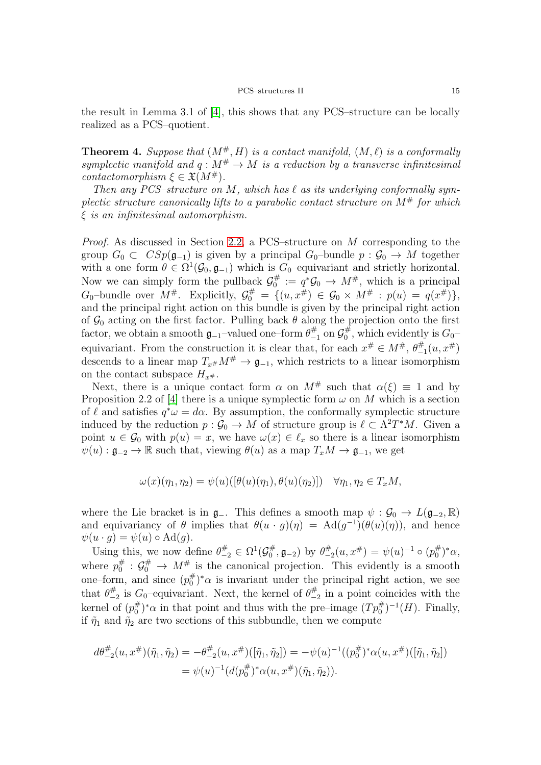the result in Lemma 3.1 of [\[4\]](#page-27-3), this shows that any PCS–structure can be locally realized as a PCS–quotient.

<span id="page-14-0"></span>**Theorem 4.** Suppose that  $(M^{\#}, H)$  is a contact manifold,  $(M, \ell)$  is a conformally symplectic manifold and  $q : M^* \to M$  is a reduction by a transverse infinitesimal contactomorphism  $\xi \in \mathfrak{X}(M^{\#})$ .

Then any PCS–structure on M, which has  $\ell$  as its underlying conformally symplectic structure canonically lifts to a parabolic contact structure on  $M^{\#}$  for which  $\xi$  is an infinitesimal automorphism.

Proof. As discussed in Section [2.2,](#page-4-0) a PCS–structure on M corresponding to the group  $G_0 \subset CSp(\mathfrak{g}_{-1})$  is given by a principal  $G_0$ -bundle  $p : \mathcal{G}_0 \to M$  together with a one–form  $\theta \in \Omega^1(\mathcal{G}_0, \mathfrak{g}_{-1})$  which is  $G_0$ –equivariant and strictly horizontal. Now we can simply form the pullback  $\mathcal{G}_0^{\#}$  $\stackrel{\#}{\underset{0}{\#}} := q^* \mathcal{G}_0 \to M^{\#}$ , which is a principal  $G_0$ -bundle over  $M^{\#}$ . Explicitly,  $\mathcal{G}_0^{\#} = \{(u, x^{\#}) \in \mathcal{G}_0 \times M^{\#} : p(u) = q(x^{\#})\},\$ and the principal right action on this bundle is given by the principal right action of  $\mathcal{G}_0$  acting on the first factor. Pulling back  $\theta$  along the projection onto the first factor, we obtain a smooth  $\mathfrak{g}_{-1}$ –valued one–form  $\theta_{-1}^{\#}$  on  $\mathcal{G}_{0}^{\#}$  $\mathcal{O}_0^{\#}$ , which evidently is  $G_0$ equivariant. From the construction it is clear that, for each  $x^{\#} \in M^{\#}, \theta^{\#}_{-1}(u, x^{\#})$ descends to a linear map  $T_{x#}M^{\#} \to \mathfrak{g}_{-1}$ , which restricts to a linear isomorphism on the contact subspace  $H_{\tau^*}$ .

Next, there is a unique contact form  $\alpha$  on  $M^{\#}$  such that  $\alpha(\xi) \equiv 1$  and by Proposition 2.2 of [\[4\]](#page-27-3) there is a unique symplectic form  $\omega$  on M which is a section of  $\ell$  and satisfies  $q^*\omega = d\alpha$ . By assumption, the conformally symplectic structure induced by the reduction  $p: \mathcal{G}_0 \to M$  of structure group is  $\ell \subset \Lambda^2 T^*M$ . Given a point  $u \in \mathcal{G}_0$  with  $p(u) = x$ , we have  $\omega(x) \in \ell_x$  so there is a linear isomorphism  $\psi(u): \mathfrak{g}_{-2} \to \mathbb{R}$  such that, viewing  $\theta(u)$  as a map  $T_xM \to \mathfrak{g}_{-1}$ , we get

$$
\omega(x)(\eta_1, \eta_2) = \psi(u)(\left[\theta(u)(\eta_1), \theta(u)(\eta_2)\right]) \quad \forall \eta_1, \eta_2 \in T_xM,
$$

where the Lie bracket is in  $\mathfrak{g}_-$ . This defines a smooth map  $\psi : \mathcal{G}_0 \to L(\mathfrak{g}_{-2}, \mathbb{R})$ and equivariancy of  $\theta$  implies that  $\theta(u \cdot g)(\eta) = \text{Ad}(g^{-1})(\theta(u)(\eta))$ , and hence  $\psi(u \cdot g) = \psi(u) \circ \text{Ad}(g).$ 

Using this, we now define  $\theta_{-2}^{\#} \in \Omega^1(\mathcal{G}_0^{\#})$  $\phi_0^{\#}, \mathfrak{g}_{-2}$ ) by  $\theta_{-2}^{\#}(u, x^{\#}) = \psi(u)^{-1} \circ (p_0^{\#})$  $_{0}^{\#}\$ <sup>\*</sup> $\alpha$ , where  $p_0^{\#}$  $\mathcal{G}_0^{\#}$  :  $\mathcal{G}_0^{\#}$   $\rightarrow$   $M^{\#}$  is the canonical projection. This evidently is a smooth one–form, and since  $(p_0^{\#})$  $_{0}^{\#}$ <sup>\*</sup> $\alpha$  is invariant under the principal right action, we see that  $\theta_{-2}^{\#}$  is  $G_0$ -equivariant. Next, the kernel of  $\theta_{-2}^{\#}$  in a point coincides with the kernel of  $(p_0^{\#}$  $_{0}^{\#}$ <sup>\*</sup> $\alpha$  in that point and thus with the pre–image  $(Tp_{0}^{\#})^{-1}(H)$ . Finally, if  $\tilde{\eta}_1$  and  $\tilde{\eta}_2$  are two sections of this subbundle, then we compute

$$
d\theta_{-2}^{\#}(u, x^{\#})(\tilde{\eta}_1, \tilde{\eta}_2) = -\theta_{-2}^{\#}(u, x^{\#})([\tilde{\eta}_1, \tilde{\eta}_2]) = -\psi(u)^{-1}((p_0^{\#})^* \alpha(u, x^{\#})([\tilde{\eta}_1, \tilde{\eta}_2])
$$
  
=  $\psi(u)^{-1}(d(p_0^{\#})^* \alpha(u, x^{\#})(\tilde{\eta}_1, \tilde{\eta}_2)).$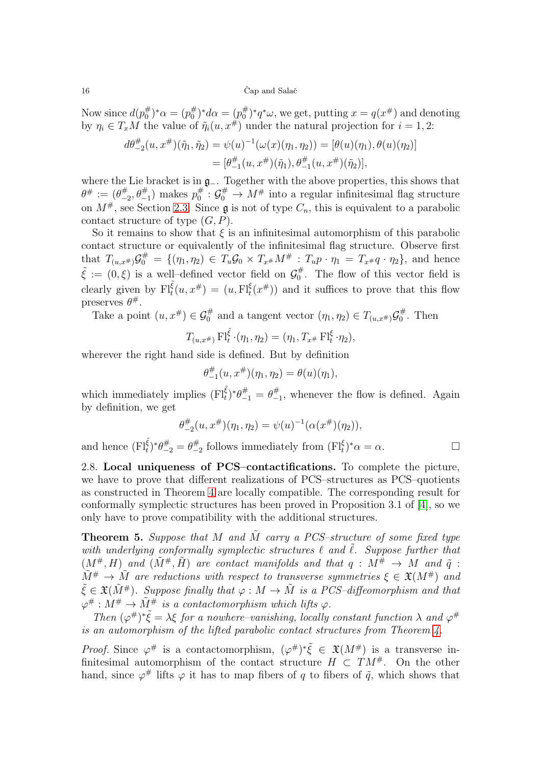16 Cap and Salač

Now since  $d(p_0^{\#})$  $(p_0^{\#})^* \alpha = (p_0^{\#})$  $_{0}^{\#}\$ <sup>\*</sup> $d\alpha = (p_{0}^{\#})$  $_{0}^{\#}$ <sup>\*</sup> $q^*\omega$ , we get, putting  $x = q(x^{\#})$  and denoting by  $\eta_i \in T_xM$  the value of  $\tilde{\eta}_i(u, x^{\#})$  under the natural projection for  $i = 1, 2$ :

$$
d\theta_{-2}^{\#}(u, x^{\#})(\tilde{\eta}_1, \tilde{\eta}_2) = \psi(u)^{-1}(\omega(x)(\eta_1, \eta_2)) = [\theta(u)(\eta_1), \theta(u)(\eta_2)]
$$
  
=  $[\theta_{-1}^{\#}(u, x^{\#})(\tilde{\eta}_1), \theta_{-1}^{\#}(u, x^{\#})(\tilde{\eta}_2)],$ 

where the Lie bracket is in g−. Together with the above properties, this shows that  $\theta^{\#}:=(\theta_{-2}^{\#},\theta_{-1}^{\#})$  makes  $p_0^{\#}$  $\frac{\text{#}}{0}$ :  $\mathcal{G}_0^{\text{#}} \rightarrow M^{\text{#}}$  into a regular infinitesimal flag structure on  $M^{\#}$ , see Section [2.3.](#page-5-0) Since  $\mathfrak g$  is not of type  $C_n$ , this is equivalent to a parabolic contact structure of type  $(G, P)$ .

So it remains to show that  $\xi$  is an infinitesimal automorphism of this parabolic contact structure or equivalently of the infinitesimal flag structure. Observe first that  $T_{(u,x^{\#})}\mathcal{G}_{0}^{\#} = \{(\eta_{1},\eta_{2}) \in T_{u}\mathcal{G}_{0} \times T_{x^{\#}}M^{\#} : T_{u}p \cdot \eta_{1} = T_{x^{\#}}q \cdot \eta_{2}\},\$ and hence  $\tilde{\xi} := (0,\xi)$  is a well-defined vector field on  $\mathcal{G}_0^{\#}$  $\mathbb{R}^{\#}$ . The flow of this vector field is clearly given by  $\text{Fl}^{\tilde{\xi}}_t(u, x^{\#}) = (u, \text{Fl}^{\xi}_t(x^{\#}))$  and it suffices to prove that this flow preserves  $\theta^{\#}$ .

Take a point  $(u, x^{\#}) \in \mathcal{G}_0^{\#}$  and a tangent vector  $(\eta_1, \eta_2) \in T_{(u, x^{\#})} \mathcal{G}_0^{\#}$  $\mathbb{I}_0^{\#}$ . Then

$$
T_{(u,x^{\#})} \operatorname{Fl}^{\tilde{\xi}}_t \cdot (\eta_1, \eta_2) = (\eta_1, T_{x^{\#}} \operatorname{Fl}^{\xi}_t \cdot \eta_2),
$$

wherever the right hand side is defined. But by definition

$$
\theta_{-1}^{\#}(u, x^{\#})(\eta_1, \eta_2) = \theta(u)(\eta_1),
$$

which immediately implies  $(FI_t^{\tilde{\xi}})^*\theta_{-1}^{\#} = \theta_{-1}^{\#}$ , whenever the flow is defined. Again by definition, we get

$$
\theta_{-2}^{\#}(u, x^{\#})(\eta_1, \eta_2) = \psi(u)^{-1}(\alpha(x^{\#})(\eta_2)),
$$

and hence  $(\mathrm{Fl}^{\tilde{\xi}}_t)^* \theta_{-2}^{\#} = \theta_{-2}^{\#}$  follows immediately from  $(\mathrm{Fl}^{\xi}_t)^* \alpha = \alpha$ .

2.8. Local uniqueness of PCS–contactifications. To complete the picture, we have to prove that different realizations of PCS–structures as PCS–quotients as constructed in Theorem [4](#page-14-0) are locally compatible. The corresponding result for conformally symplectic structures has been proved in Proposition 3.1 of [\[4\]](#page-27-3), so we only have to prove compatibility with the additional structures.

<span id="page-15-0"></span>**Theorem 5.** Suppose that M and  $\tilde{M}$  carry a PCS–structure of some fixed type with underlying conformally symplectic structures  $\ell$  and  $\tilde{\ell}$ . Suppose further that  $(M^{\#}, H)$  and  $(\tilde{M}^{\#}, \tilde{H})$  are contact manifolds and that  $q : M^{\#} \to M$  and  $\tilde{q}$ :  $\tilde{M}^{\#} \to \tilde{M}$  are reductions with respect to transverse symmetries  $\xi \in \mathfrak{X}(M^{\#})$  and  $\widetilde{\xi} \in \mathfrak{X}(\widetilde{M}^*)$ . Suppose finally that  $\varphi : M \to \widetilde{M}$  is a PCS-diffeomorphism and that  $\varphi$ <sup>#</sup> :  $M^{\#} \rightarrow \tilde{M}^{\#}$  is a contactomorphism which lifts  $\varphi$ .

Then  $(\varphi^{\#})^*\tilde{\xi} = \lambda \xi$  for a nowhere-vanishing, locally constant function  $\lambda$  and  $\varphi^{\#}$ is an automorphism of the lifted parabolic contact structures from Theorem [4.](#page-14-0)

*Proof.* Since  $\varphi^{\#}$  is a contactomorphism,  $(\varphi^{\#})^*\tilde{\xi} \in \mathfrak{X}(M^{\#})$  is a transverse infinitesimal automorphism of the contact structure  $H \subset TM^{\#}$ . On the other hand, since  $\varphi^{\#}$  lifts  $\varphi$  it has to map fibers of q to fibers of  $\tilde{q}$ , which shows that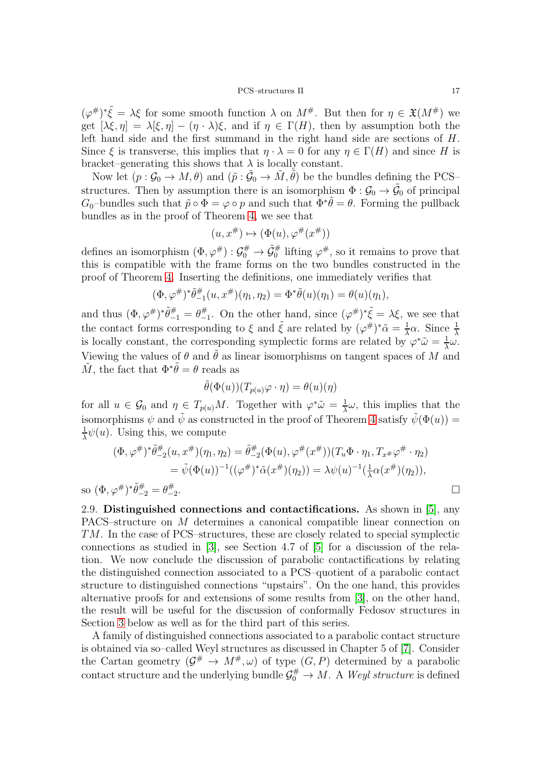$(\varphi^{\#})^*\tilde{\xi} = \lambda \xi$  for some smooth function  $\lambda$  on  $M^{\#}$ . But then for  $\eta \in \mathfrak{X}(M^{\#})$  we get  $[\lambda \xi, \eta] = \lambda [\xi, \eta] - (\eta \cdot \lambda) \xi$ , and if  $\eta \in \Gamma(H)$ , then by assumption both the left hand side and the first summand in the right hand side are sections of H. Since  $\xi$  is transverse, this implies that  $\eta \cdot \lambda = 0$  for any  $\eta \in \Gamma(H)$  and since H is bracket–generating this shows that  $\lambda$  is locally constant.

Now let  $(p: \mathcal{G}_0 \to M, \theta)$  and  $(\tilde{p}: \tilde{\mathcal{G}}_0 \to \tilde{M}, \tilde{\theta})$  be the bundles defining the PCS– structures. Then by assumption there is an isomorphism  $\Phi: \mathcal{G}_0 \to \tilde{\mathcal{G}}_0$  of principal  $G_0$ –bundles such that  $\tilde{p} \circ \Phi = \varphi \circ p$  and such that  $\Phi^* \theta = \theta$ . Forming the pullback bundles as in the proof of Theorem [4,](#page-14-0) we see that

$$
(u, x^{\#}) \mapsto (\Phi(u), \varphi^{\#}(x^{\#}))
$$

defines an isomorphism  $(\Phi, \varphi)$  :  $\mathcal{G}_0^{\#} \to \tilde{\mathcal{G}}_0^{\#}$  lifting  $\varphi^{\#}$ , so it remains to prove that this is compatible with the frame forms on the two bundles constructed in the proof of Theorem [4.](#page-14-0) Inserting the definitions, one immediately verifies that

$$
(\Phi, \varphi^{\#})^* \tilde{\theta}^{\#}_{-1}(u, x^{\#})(\eta_1, \eta_2) = \Phi^* \tilde{\theta}(u)(\eta_1) = \theta(u)(\eta_1),
$$

and thus  $(\Phi, \varphi^{\#})^* \tilde{\theta}^{\#}_{-1} = \theta^{\#}_{-1}$ . On the other hand, since  $(\varphi^{\#})^* \tilde{\xi} = \lambda \xi$ , we see that the contact forms corresponding to  $\xi$  and  $\tilde{\xi}$  are related by  $(\varphi^{\#})^*\tilde{\alpha} = \frac{1}{\lambda}$  $\frac{1}{\lambda}\alpha$ . Since  $\frac{1}{\lambda}$ is locally constant, the corresponding symplectic forms are related by  $\varphi^* \tilde{\omega} = \frac{1}{\lambda}$  $\frac{1}{\lambda}\omega$ . Viewing the values of  $\theta$  and  $\tilde{\theta}$  as linear isomorphisms on tangent spaces of M and  $\tilde{M}$ , the fact that  $\Phi^*\tilde{\theta} = \theta$  reads as

$$
\tilde{\theta}(\Phi(u))(T_{p(u)}\varphi \cdot \eta) = \theta(u)(\eta)
$$

for all  $u \in \mathcal{G}_0$  and  $\eta \in T_{p(u)}M$ . Together with  $\varphi^*\tilde{\omega} = \frac{1}{\lambda}$  $\frac{1}{\lambda}\omega$ , this implies that the isomorphisms  $\psi$  and  $\bar{\psi}$  as constructed in the proof of Theorem [4](#page-14-0) satisfy  $\bar{\psi}(\Phi(u))$  = 1  $\frac{1}{\lambda}\psi(u)$ . Using this, we compute

$$
(\Phi, \varphi^{\#})^* \tilde{\theta}^{\#}_{-2}(u, x^{\#})(\eta_1, \eta_2) = \tilde{\theta}^{\#}_{-2}(\Phi(u), \varphi^{\#}(x^{\#}))(T_u \Phi \cdot \eta_1, T_{x^{\#}} \varphi^{\#} \cdot \eta_2)
$$
  

$$
= \tilde{\psi}(\Phi(u))^{-1}((\varphi^{\#})^* \tilde{\alpha}(x^{\#})(\eta_2)) = \lambda \psi(u)^{-1}(\frac{1}{\lambda} \alpha(x^{\#})(\eta_2)),
$$
  
so  $(\Phi, \varphi^{\#})^* \tilde{\theta}^{\#}_{-2} = \theta^{\#}_{-2}.$ 

<span id="page-16-0"></span>2.9. Distinguished connections and contactifications. As shown in [\[5\]](#page-27-2), any PACS–structure on M determines a canonical compatible linear connection on TM. In the case of PCS–structures, these are closely related to special symplectic connections as studied in [\[3\]](#page-26-0), see Section 4.7 of [\[5\]](#page-27-2) for a discussion of the relation. We now conclude the discussion of parabolic contactifications by relating the distinguished connection associated to a PCS–quotient of a parabolic contact structure to distinguished connections "upstairs". On the one hand, this provides alternative proofs for and extensions of some results from [\[3\]](#page-26-0), on the other hand, the result will be useful for the discussion of conformally Fedosov structures in Section [3](#page-19-1) below as well as for the third part of this series.

A family of distinguished connections associated to a parabolic contact structure is obtained via so–called Weyl structures as discussed in Chapter 5 of [\[7\]](#page-27-5). Consider the Cartan geometry  $(\mathcal{G}^{\#} \to M^{\#}, \omega)$  of type  $(G, P)$  determined by a parabolic contact structure and the underlying bundle  $\mathcal{G}_0^{\#} \to M$ . A Weyl structure is defined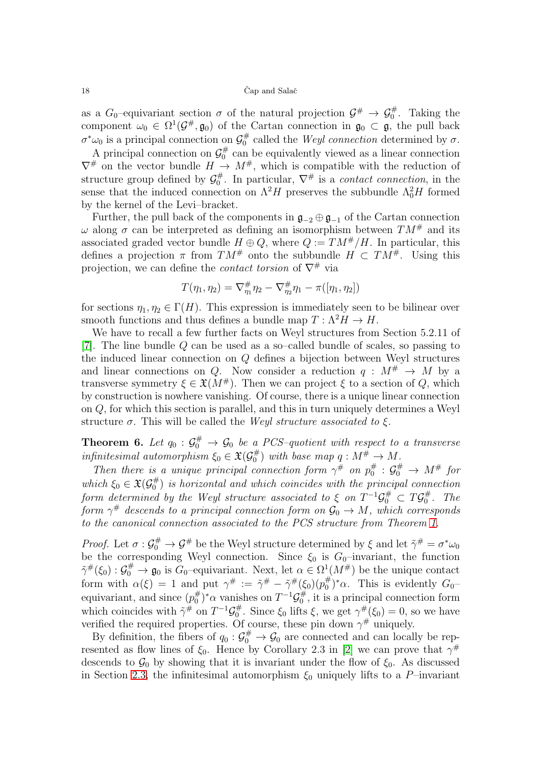as a  $G_0$ -equivariant section  $\sigma$  of the natural projection  $\mathcal{G}^{\#} \to \mathcal{G}_0^{\#}$ . Taking the component  $\omega_0 \in \Omega^1(\mathcal{G}^{\#}, \mathfrak{g}_0)$  of the Cartan connection in  $\mathfrak{g}_0 \subset \mathfrak{g}$ , the pull back  $\sigma^*\omega_0$  is a principal connection on  $\mathcal{G}_0^{\#}$  $_{0}^{\#}$  called the *Weyl connection* determined by  $\sigma$ .

A principal connection on  $\mathcal{G}_0^{\#}$  $_{0}^{\#}$  can be equivalently viewed as a linear connection  $\nabla^{\#}$  on the vector bundle  $H \to M^{\#}$ , which is compatible with the reduction of structure group defined by  $\mathcal{G}_0^{\#}$  $\frac{\pi}{0}$ . In particular,  $\nabla^{\#}$  is a *contact connection*, in the sense that the induced connection on  $\Lambda^2 H$  preserves the subbundle  $\Lambda_0^2 H$  formed by the kernel of the Levi–bracket.

Further, the pull back of the components in  $\mathfrak{g}_{-2} \oplus \mathfrak{g}_{-1}$  of the Cartan connection  $ω$  along σ can be interpreted as defining an isomorphism between  $TM^{\#}$  and its associated graded vector bundle  $H \oplus Q$ , where  $Q := TM^*/H$ . In particular, this defines a projection  $\pi$  from  $TM^{\#}$  onto the subbundle  $H \subset TM^{\#}$ . Using this projection, we can define the *contact torsion* of  $\nabla^{\#}$  via

$$
T(\eta_1, \eta_2) = \nabla_{\eta_1}^{\#} \eta_2 - \nabla_{\eta_2}^{\#} \eta_1 - \pi([\eta_1, \eta_2])
$$

for sections  $\eta_1, \eta_2 \in \Gamma(H)$ . This expression is immediately seen to be bilinear over smooth functions and thus defines a bundle map  $T : \Lambda^2 H \to H$ .

We have to recall a few further facts on Weyl structures from Section 5.2.11 of [\[7\]](#page-27-5). The line bundle Q can be used as a so–called bundle of scales, so passing to the induced linear connection on Q defines a bijection between Weyl structures and linear connections on Q. Now consider a reduction  $q : M^{\#} \to M$  by a transverse symmetry  $\xi \in \mathfrak{X}(M^*)$ . Then we can project  $\xi$  to a section of Q, which by construction is nowhere vanishing. Of course, there is a unique linear connection on Q, for which this section is parallel, and this in turn uniquely determines a Weyl structure  $\sigma$ . This will be called the Weyl structure associated to  $\xi$ .

<span id="page-17-0"></span>**Theorem 6.** Let  $q_0: \mathcal{G}_0^{\#} \to \mathcal{G}_0$  be a PCS-quotient with respect to a transverse infinitesimal automorphism  $\xi_0 \in \mathfrak{X}(\mathcal{G}_0^{\#})$  $\binom{\#}{0}$  with base map  $q: M^{\#} \rightarrow M$ .

Then there is a unique principal connection form  $\gamma^{\#}$  on  $p_0^{\#}$  $\frac{\#}{0}$  :  $\mathcal{G}_0^{\#} \to M^{\#}$  for which  $\xi_0 \in \mathfrak{X}(\mathcal{G}_0^{\#})$  $_0^\#$ ) is horizontal and which coincides with the principal connection  ${\it form~ determined~by~the~Weyl~structure~ associated~to~\xi~on~T^{-1}\mathcal{G}^{\#}_{0} \subset T\mathcal{G}^{\#}_{0}$  $\mathbb{I}_0^{\#}$ . The form  $\gamma^{\#}$  descends to a principal connection form on  $\mathcal{G}_{0}\to M$ , which corresponds to the canonical connection associated to the PCS structure from Theorem [1.](#page-5-1)

*Proof.* Let  $\sigma: \mathcal{G}_0^{\#} \to \mathcal{G}^{\#}$  be the Weyl structure determined by  $\xi$  and let  $\tilde{\gamma}^{\#} = \sigma^* \omega_0$ be the corresponding Weyl connection. Since  $\xi_0$  is  $G_0$ –invariant, the function  $\tilde{\gamma}^{\#}(\xi_0) : \mathcal{G}_0^{\#} \to \mathfrak{g}_0$  is  $G_0$ -equivariant. Next, let  $\alpha \in \Omega^1(M^{\#})$  be the unique contact form with  $\alpha(\xi) = 1$  and put  $\gamma^{\#} := \tilde{\gamma}^{\#} - \tilde{\gamma}^{\#}(\xi_0)(p_0^{\#})$  $_{0}^{\#}$ )\* $\alpha$ . This is evidently  $G_{0}$ equivariant, and since  $(p_0^{\#})$  $(v_0^{\#})^*$  a vanishes on  $T^{-1}\mathcal{G}_0^{\#}$  $_{0}^{\#}$ , it is a principal connection form which coincides with  $\tilde{\gamma}^{\#}$  on  $T^{-1}\mathcal{G}_0^{\#}$  $\frac{\pi}{0}$ . Since  $\xi_0$  lifts  $\xi$ , we get  $\gamma^{\#}(\xi_0) = 0$ , so we have verified the required properties. Of course, these pin down  $\gamma^{\#}$  uniquely.

By definition, the fibers of  $q_0: \mathcal{G}_0^{\#} \to \mathcal{G}_0$  are connected and can locally be represented as flow lines of  $\xi_0$ . Hence by Corollary 2.3 in [\[2\]](#page-26-2) we can prove that  $\gamma^{\#}$ descends to  $\mathcal{G}_0$  by showing that it is invariant under the flow of  $\xi_0$ . As discussed in Section [2.3,](#page-5-0) the infinitesimal automorphism  $\xi_0$  uniquely lifts to a P-invariant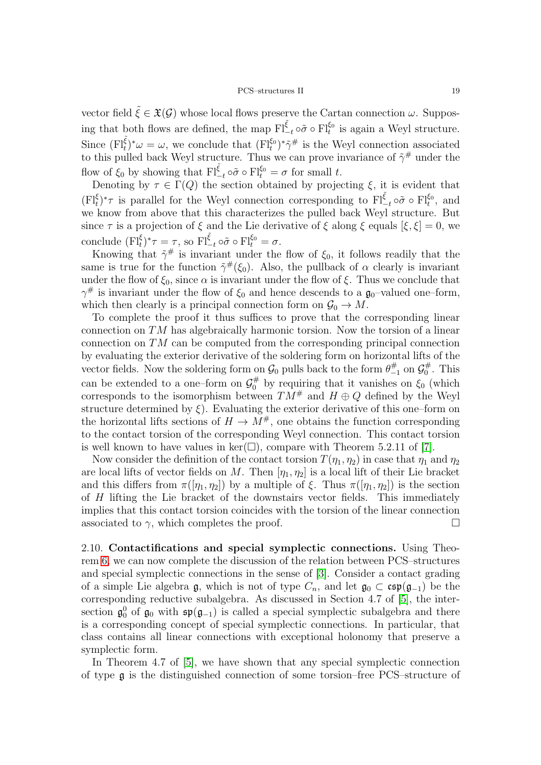vector field  $\tilde{\xi} \in \mathfrak{X}(\mathcal{G})$  whose local flows preserve the Cartan connection  $\omega$ . Supposing that both flows are defined, the map  $\mathrm{Fl}^{\tilde{\xi}}_{-t} \circ \tilde{\sigma} \circ \mathrm{Fl}^{\xi_0}_{t}$  is again a Weyl structure. Since  $(FI_{t}^{\tilde{\xi}})^*\omega = \omega$ , we conclude that  $(FI_{t}^{\xi_0})^*\tilde{\gamma}^{\#}$  is the Weyl connection associated to this pulled back Weyl structure. Thus we can prove invariance of  $\tilde{\gamma}^{\#}$  under the flow of  $\xi_0$  by showing that  $\mathrm{Fl}^{\tilde{\xi}}_{-t} \circ \tilde{\sigma} \circ \mathrm{Fl}^{\xi_0}_{t} = \sigma$  for small t.

Denoting by  $\tau \in \Gamma(Q)$  the section obtained by projecting  $\xi$ , it is evident that  $(\mathrm{Fl}^{\xi}_t)^*\tau$  is parallel for the Weyl connection corresponding to  $\mathrm{Fl}^{\xi}_{-t} \circ \tilde{\sigma} \circ \mathrm{Fl}^{\xi_0}_{t}$ , and we know from above that this characterizes the pulled back Weyl structure. But since  $\tau$  is a projection of  $\xi$  and the Lie derivative of  $\xi$  along  $\xi$  equals  $[\xi, \xi] = 0$ , we conclude  $(\mathrm{Fl}^{\xi}_t)^*\tau = \tau$ , so  $\mathrm{Fl}^{\xi}_t \circ \tilde{\sigma} \circ \mathrm{Fl}^{\xi_0}_t = \sigma$ .

Knowing that  $\tilde{\gamma}^{\#}$  is invariant under the flow of  $\xi_0$ , it follows readily that the same is true for the function  $\tilde{\gamma}^{\#}(\xi_0)$ . Also, the pullback of  $\alpha$  clearly is invariant under the flow of  $\xi_0$ , since  $\alpha$  is invariant under the flow of  $\xi$ . Thus we conclude that  $\gamma^{\#}$  is invariant under the flow of  $\xi_0$  and hence descends to a  $\mathfrak{g}_0$ -valued one-form, which then clearly is a principal connection form on  $\mathcal{G}_0 \to M$ .

To complete the proof it thus suffices to prove that the corresponding linear connection on TM has algebraically harmonic torsion. Now the torsion of a linear connection on TM can be computed from the corresponding principal connection by evaluating the exterior derivative of the soldering form on horizontal lifts of the vector fields. Now the soldering form on  $\mathcal{G}_0$  pulls back to the form  $\theta_{-1}^{\#}$  on  $\mathcal{G}_0^{\#}$  $\mathbb{Z}^{\#}$ . This can be extended to a one–form on  $\mathcal{G}_0^{\#}$  by requiring that it vanishes on  $\xi_0$  (which corresponds to the isomorphism between  $TM^{\#}$  and  $H \oplus Q$  defined by the Weyl structure determined by  $\xi$ ). Evaluating the exterior derivative of this one–form on the horizontal lifts sections of  $H \to M^{\#}$ , one obtains the function corresponding to the contact torsion of the corresponding Weyl connection. This contact torsion is well known to have values in  $\ker(\square)$ , compare with Theorem 5.2.11 of [\[7\]](#page-27-5).

Now consider the definition of the contact torsion  $T(\eta_1, \eta_2)$  in case that  $\eta_1$  and  $\eta_2$ are local lifts of vector fields on M. Then  $[\eta_1, \eta_2]$  is a local lift of their Lie bracket and this differs from  $\pi([\eta_1, \eta_2])$  by a multiple of  $\xi$ . Thus  $\pi([\eta_1, \eta_2])$  is the section of H lifting the Lie bracket of the downstairs vector fields. This immediately implies that this contact torsion coincides with the torsion of the linear connection associated to  $\gamma$ , which completes the proof.  $\Box$ 

2.10. Contactifications and special symplectic connections. Using Theorem [6,](#page-17-0) we can now complete the discussion of the relation between PCS–structures and special symplectic connections in the sense of [\[3\]](#page-26-0). Consider a contact grading of a simple Lie algebra  $\mathfrak{g}$ , which is not of type  $C_n$ , and let  $\mathfrak{g}_0 \subset \mathfrak{csp}(\mathfrak{g}_{-1})$  be the corresponding reductive subalgebra. As discussed in Section 4.7 of [\[5\]](#page-27-2), the intersection  $\mathfrak{g}_0^0$  of  $\mathfrak{g}_0$  with  $\mathfrak{sp}(\mathfrak{g}_{-1})$  is called a special symplectic subalgebra and there is a corresponding concept of special symplectic connections. In particular, that class contains all linear connections with exceptional holonomy that preserve a symplectic form.

In Theorem 4.7 of [\[5\]](#page-27-2), we have shown that any special symplectic connection of type g is the distinguished connection of some torsion–free PCS–structure of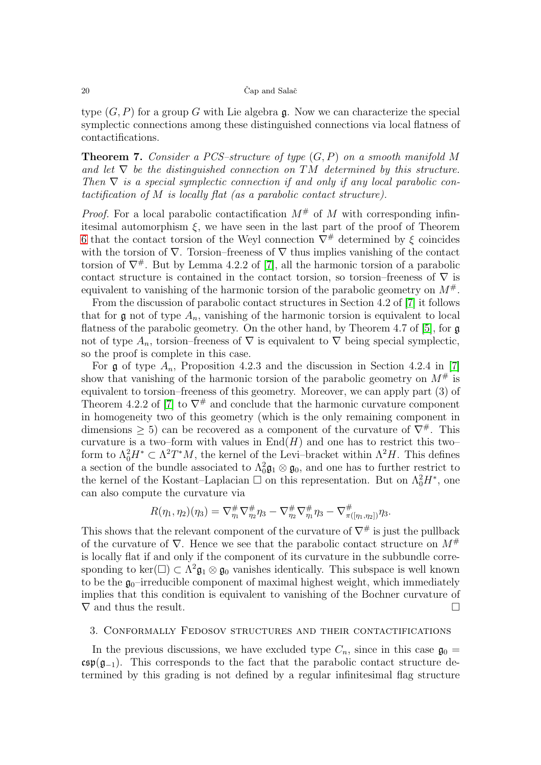type  $(G, P)$  for a group G with Lie algebra g. Now we can characterize the special symplectic connections among these distinguished connections via local flatness of contactifications.

<span id="page-19-0"></span>**Theorem 7.** Consider a PCS–structure of type  $(G, P)$  on a smooth manifold M and let  $\nabla$  be the distinguished connection on TM determined by this structure. Then  $\nabla$  is a special symplectic connection if and only if any local parabolic contactification of M is locally flat (as a parabolic contact structure).

*Proof.* For a local parabolic contactification  $M^{\#}$  of M with corresponding infinitesimal automorphism  $\xi$ , we have seen in the last part of the proof of Theorem [6](#page-17-0) that the contact torsion of the Weyl connection  $\nabla^{\#}$  determined by  $\xi$  coincides with the torsion of  $\nabla$ . Torsion–freeness of  $\nabla$  thus implies vanishing of the contact torsion of  $\nabla^*$ . But by Lemma 4.2.2 of [\[7\]](#page-27-5), all the harmonic torsion of a parabolic contact structure is contained in the contact torsion, so torsion–freeness of  $\nabla$  is equivalent to vanishing of the harmonic torsion of the parabolic geometry on  $M^*$ .

From the discussion of parabolic contact structures in Section 4.2 of [\[7\]](#page-27-5) it follows that for  $\mathfrak g$  not of type  $A_n$ , vanishing of the harmonic torsion is equivalent to local flatness of the parabolic geometry. On the other hand, by Theorem 4.7 of [\[5\]](#page-27-2), for  $\mathfrak{g}$ not of type  $A_n$ , torsion–freeness of  $\nabla$  is equivalent to  $\nabla$  being special symplectic, so the proof is complete in this case.

For  $\mathfrak g$  of type  $A_n$ , Proposition 4.2.3 and the discussion in Section 4.2.4 in [\[7\]](#page-27-5) show that vanishing of the harmonic torsion of the parabolic geometry on  $M^{\#}$  is equivalent to torsion–freeness of this geometry. Moreover, we can apply part (3) of Theorem 4.2.2 of [\[7\]](#page-27-5) to  $\nabla^{\#}$  and conclude that the harmonic curvature component in homogeneity two of this geometry (which is the only remaining component in dimensions  $\geq 5$ ) can be recovered as a component of the curvature of  $\nabla^*$ . This curvature is a two–form with values in  $End(H)$  and one has to restrict this two– form to  $\Lambda_0^2 H^* \subset \Lambda^2 T^* M$ , the kernel of the Levi–bracket within  $\Lambda^2 H$ . This defines a section of the bundle associated to  $\Lambda_0^2 \mathfrak{g}_1 \otimes \mathfrak{g}_0$ , and one has to further restrict to the kernel of the Kostant–Laplacian  $\Box$  on this representation. But on  $\Lambda_0^2 H^*$ , one can also compute the curvature via

$$
R(\eta_1, \eta_2)(\eta_3) = \nabla_{\eta_1}^{\#} \nabla_{\eta_2}^{\#} \eta_3 - \nabla_{\eta_2}^{\#} \nabla_{\eta_1}^{\#} \eta_3 - \nabla_{\pi([\eta_1, \eta_2])}^{\#} \eta_3.
$$

This shows that the relevant component of the curvature of  $\nabla^{\#}$  is just the pullback of the curvature of  $\nabla$ . Hence we see that the parabolic contact structure on  $M^{\#}$ is locally flat if and only if the component of its curvature in the subbundle corresponding to ker( $\Box$ )  $\subset \Lambda^2 \mathfrak{g}_1 \otimes \mathfrak{g}_0$  vanishes identically. This subspace is well known to be the  $\mathfrak{g}_0$ -irreducible component of maximal highest weight, which immediately implies that this condition is equivalent to vanishing of the Bochner curvature of  $\nabla$  and thus the result.

# <span id="page-19-1"></span>3. Conformally Fedosov structures and their contactifications

In the previous discussions, we have excluded type  $C_n$ , since in this case  $\mathfrak{g}_0 =$  $csp(\mathfrak{g}_{-1})$ . This corresponds to the fact that the parabolic contact structure determined by this grading is not defined by a regular infinitesimal flag structure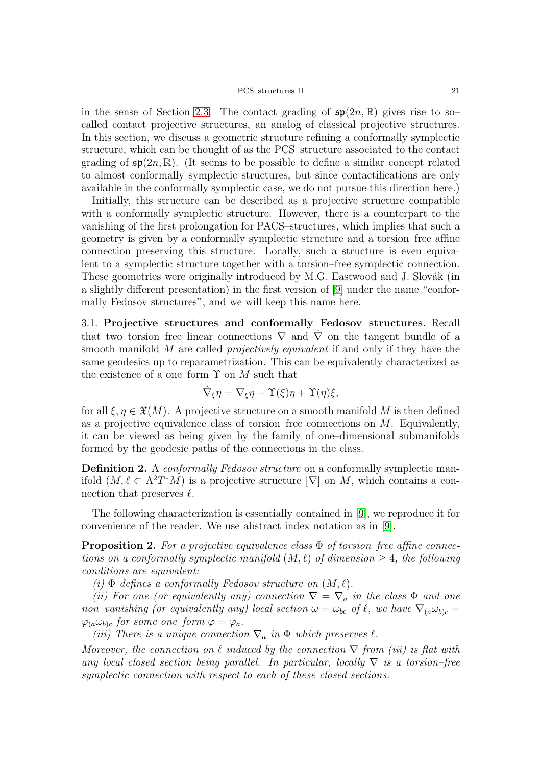#### PCS–structures II 21

in the sense of Section [2.3.](#page-5-0) The contact grading of  $\mathfrak{sp}(2n,\mathbb{R})$  gives rise to so– called contact projective structures, an analog of classical projective structures. In this section, we discuss a geometric structure refining a conformally symplectic structure, which can be thought of as the PCS–structure associated to the contact grading of  $\mathfrak{sp}(2n,\mathbb{R})$ . (It seems to be possible to define a similar concept related to almost conformally symplectic structures, but since contactifications are only available in the conformally symplectic case, we do not pursue this direction here.)

Initially, this structure can be described as a projective structure compatible with a conformally symplectic structure. However, there is a counterpart to the vanishing of the first prolongation for PACS–structures, which implies that such a geometry is given by a conformally symplectic structure and a torsion–free affine connection preserving this structure. Locally, such a structure is even equivalent to a symplectic structure together with a torsion–free symplectic connection. These geometries were originally introduced by M.G. Eastwood and J. Slovák (in a slightly different presentation) in the first version of [\[9\]](#page-27-1) under the name "conformally Fedosov structures", and we will keep this name here.

<span id="page-20-0"></span>3.1. Projective structures and conformally Fedosov structures. Recall that two torsion–free linear connections  $\nabla$  and  $\hat{\nabla}$  on the tangent bundle of a smooth manifold M are called *projectively equivalent* if and only if they have the same geodesics up to reparametrization. This can be equivalently characterized as the existence of a one–form  $\Upsilon$  on M such that

$$
\hat{\nabla}_{\xi}\eta = \nabla_{\xi}\eta + \Upsilon(\xi)\eta + \Upsilon(\eta)\xi,
$$

for all  $\xi, \eta \in \mathfrak{X}(M)$ . A projective structure on a smooth manifold M is then defined as a projective equivalence class of torsion–free connections on  $M$ . Equivalently, it can be viewed as being given by the family of one–dimensional submanifolds formed by the geodesic paths of the connections in the class.

Definition 2. A conformally Fedosov structure on a conformally symplectic manifold  $(M, \ell \subset \Lambda^2 T^*M)$  is a projective structure  $[\nabla]$  on M, which contains a connection that preserves  $\ell$ .

The following characterization is essentially contained in [\[9\]](#page-27-1), we reproduce it for convenience of the reader. We use abstract index notation as in [\[9\]](#page-27-1).

<span id="page-20-1"></span>**Proposition 2.** For a projective equivalence class  $\Phi$  of torsion–free affine connections on a conformally symplectic manifold  $(M, \ell)$  of dimension  $\geq 4$ , the following conditions are equivalent:

(i)  $\Phi$  defines a conformally Fedosov structure on  $(M, \ell)$ .

(ii) For one (or equivalently any) connection  $\nabla = \nabla_a$  in the class  $\Phi$  and one non–vanishing (or equivalently any) local section  $\omega = \omega_{bc}$  of  $\ell$ , we have  $\nabla_{(a}\omega_{b)c} =$  $\varphi_{(a}\omega_{b)c}$  for some one–form  $\varphi = \varphi_a$ .

(iii) There is a unique connection  $\nabla_a$  in  $\Phi$  which preserves  $\ell$ .

Moreover, the connection on  $\ell$  induced by the connection  $\nabla$  from (iii) is flat with any local closed section being parallel. In particular, locally  $\nabla$  is a torsion–free symplectic connection with respect to each of these closed sections.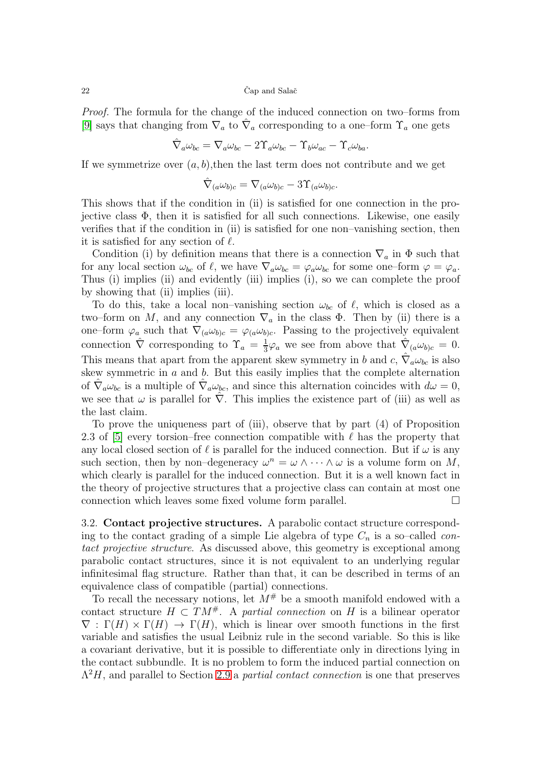$\check{\mathrm{C}}$ ap and Salač

Proof. The formula for the change of the induced connection on two–forms from [\[9\]](#page-27-1) says that changing from  $\nabla_a$  to  $\hat{\nabla}_a$  corresponding to a one-form  $\Upsilon_a$  one gets

$$
\hat{\nabla}_a \omega_{bc} = \nabla_a \omega_{bc} - 2\Upsilon_a \omega_{bc} - \Upsilon_b \omega_{ac} - \Upsilon_c \omega_{ba}.
$$

If we symmetrize over  $(a, b)$ , then the last term does not contribute and we get

$$
\hat{\nabla}_{(a}\omega_{b)c} = \nabla_{(a}\omega_{b)c} - 3\Upsilon_{(a}\omega_{b)c}.
$$

This shows that if the condition in (ii) is satisfied for one connection in the projective class  $\Phi$ , then it is satisfied for all such connections. Likewise, one easily verifies that if the condition in (ii) is satisfied for one non–vanishing section, then it is satisfied for any section of  $\ell$ .

Condition (i) by definition means that there is a connection  $\nabla_a$  in  $\Phi$  such that for any local section  $\omega_{bc}$  of  $\ell$ , we have  $\nabla_a \omega_{bc} = \varphi_a \omega_{bc}$  for some one–form  $\varphi = \varphi_a$ . Thus (i) implies (ii) and evidently (iii) implies (i), so we can complete the proof by showing that (ii) implies (iii).

To do this, take a local non–vanishing section  $\omega_{bc}$  of  $\ell$ , which is closed as a two–form on M, and any connection  $\nabla_a$  in the class  $\Phi$ . Then by (ii) there is a one–form  $\varphi_a$  such that  $\nabla_{(a}\omega_{b)c} = \varphi_{(a}\omega_{b)c}$ . Passing to the projectively equivalent connection  $\hat{\nabla}$  corresponding to  $\Upsilon_a = \frac{1}{3}$  $\frac{1}{3}\varphi_a$  we see from above that  $\hat{\nabla}_{(a}\omega_{b)c} = 0$ . This means that apart from the apparent skew symmetry in b and c,  $\hat{\nabla}_a \omega_{bc}$  is also skew symmetric in  $a$  and  $b$ . But this easily implies that the complete alternation of  $\hat{\nabla}_a \omega_{bc}$  is a multiple of  $\hat{\nabla}_a \omega_{bc}$ , and since this alternation coincides with  $d\omega = 0$ , we see that  $\omega$  is parallel for  $\nabla$ . This implies the existence part of (iii) as well as the last claim.

To prove the uniqueness part of (iii), observe that by part (4) of Proposition 2.3 of [\[5\]](#page-27-2) every torsion–free connection compatible with  $\ell$  has the property that any local closed section of  $\ell$  is parallel for the induced connection. But if  $\omega$  is any such section, then by non-degeneracy  $\omega^n = \omega \wedge \cdots \wedge \omega$  is a volume form on M, which clearly is parallel for the induced connection. But it is a well known fact in the theory of projective structures that a projective class can contain at most one connection which leaves some fixed volume form parallel.  $\Box$ 

3.2. Contact projective structures. A parabolic contact structure corresponding to the contact grading of a simple Lie algebra of type  $C_n$  is a so-called *con*tact projective structure. As discussed above, this geometry is exceptional among parabolic contact structures, since it is not equivalent to an underlying regular infinitesimal flag structure. Rather than that, it can be described in terms of an equivalence class of compatible (partial) connections.

To recall the necessary notions, let  $M^{\#}$  be a smooth manifold endowed with a contact structure  $H \subset TM^*$ . A partial connection on H is a bilinear operator  $\nabla : \Gamma(H) \times \Gamma(H) \rightarrow \Gamma(H)$ , which is linear over smooth functions in the first variable and satisfies the usual Leibniz rule in the second variable. So this is like a covariant derivative, but it is possible to differentiate only in directions lying in the contact subbundle. It is no problem to form the induced partial connection on  $\Lambda^2 H$ , and parallel to Section [2.9](#page-16-0) a *partial contact connection* is one that preserves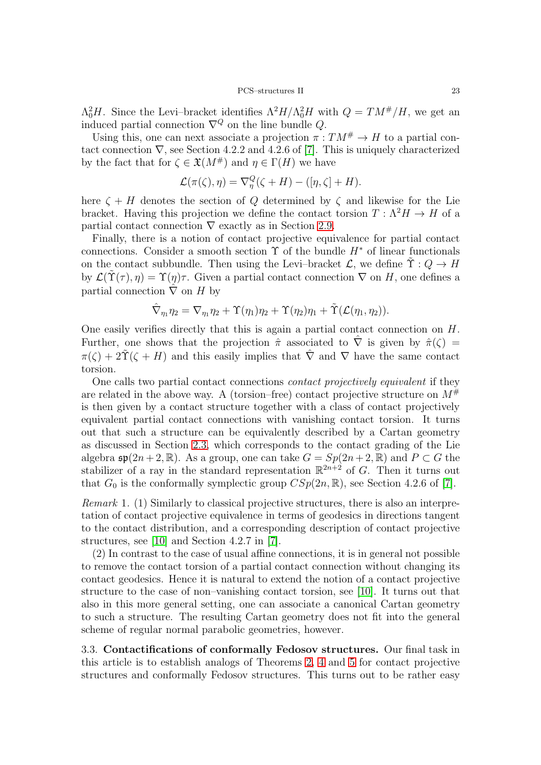$\Lambda_0^2 H$ . Since the Levi-bracket identifies  $\Lambda^2 H / \Lambda_0^2 H$  with  $Q = T M^{\#}/H$ , we get an induced partial connection  $\nabla^Q$  on the line bundle Q.

Using this, one can next associate a projection  $\pi : TM^{\#} \to H$  to a partial contact connection  $\nabla$ , see Section 4.2.2 and 4.2.6 of [\[7\]](#page-27-5). This is uniquely characterized by the fact that for  $\zeta \in \mathfrak{X}(M^{\#})$  and  $\eta \in \Gamma(H)$  we have

$$
\mathcal{L}(\pi(\zeta), \eta) = \nabla_{\eta}^{Q}(\zeta + H) - ([\eta, \zeta] + H).
$$

here  $\zeta + H$  denotes the section of Q determined by  $\zeta$  and likewise for the Lie bracket. Having this projection we define the contact torsion  $T : \Lambda^2 H \to H$  of a partial contact connection  $\nabla$  exactly as in Section [2.9.](#page-16-0)

Finally, there is a notion of contact projective equivalence for partial contact connections. Consider a smooth section  $\Upsilon$  of the bundle  $H^*$  of linear functionals on the contact subbundle. Then using the Levi–bracket  $\mathcal{L}$ , we define  $\Upsilon : Q \to H$ by  $\mathcal{L}(\tilde{\Upsilon}(\tau), \eta) = \Upsilon(\eta)\tau$ . Given a partial contact connection  $\nabla$  on H, one defines a partial connection  $\hat{\nabla}$  on H by

$$
\hat{\nabla}_{\eta_1}\eta_2 = \nabla_{\eta_1}\eta_2 + \Upsilon(\eta_1)\eta_2 + \Upsilon(\eta_2)\eta_1 + \tilde{\Upsilon}(\mathcal{L}(\eta_1, \eta_2)).
$$

One easily verifies directly that this is again a partial contact connection on H. Further, one shows that the projection  $\hat{\pi}$  associated to  $\hat{\nabla}$  is given by  $\hat{\pi}(\zeta)$  =  $\pi(\zeta) + 2\tilde{\Upsilon}(\zeta + H)$  and this easily implies that  $\hat{\nabla}$  and  $\nabla$  have the same contact torsion.

One calls two partial contact connections contact projectively equivalent if they are related in the above way. A (torsion–free) contact projective structure on  $M^{\#}$ is then given by a contact structure together with a class of contact projectively equivalent partial contact connections with vanishing contact torsion. It turns out that such a structure can be equivalently described by a Cartan geometry as discussed in Section [2.3,](#page-5-0) which corresponds to the contact grading of the Lie algebra  $\mathfrak{sp}(2n+2,\mathbb{R})$ . As a group, one can take  $G = Sp(2n+2,\mathbb{R})$  and  $P \subset G$  the stabilizer of a ray in the standard representation  $\mathbb{R}^{2n+2}$  of G. Then it turns out that  $G_0$  is the conformally symplectic group  $CSp(2n,\mathbb{R})$ , see Section 4.2.6 of [\[7\]](#page-27-5).

Remark 1. (1) Similarly to classical projective structures, there is also an interpretation of contact projective equivalence in terms of geodesics in directions tangent to the contact distribution, and a corresponding description of contact projective structures, see [\[10\]](#page-27-6) and Section 4.2.7 in [\[7\]](#page-27-5).

(2) In contrast to the case of usual affine connections, it is in general not possible to remove the contact torsion of a partial contact connection without changing its contact geodesics. Hence it is natural to extend the notion of a contact projective structure to the case of non–vanishing contact torsion, see [\[10\]](#page-27-6). It turns out that also in this more general setting, one can associate a canonical Cartan geometry to such a structure. The resulting Cartan geometry does not fit into the general scheme of regular normal parabolic geometries, however.

3.3. Contactifications of conformally Fedosov structures. Our final task in this article is to establish analogs of Theorems [2,](#page-8-0) [4](#page-14-0) and [5](#page-15-0) for contact projective structures and conformally Fedosov structures. This turns out to be rather easy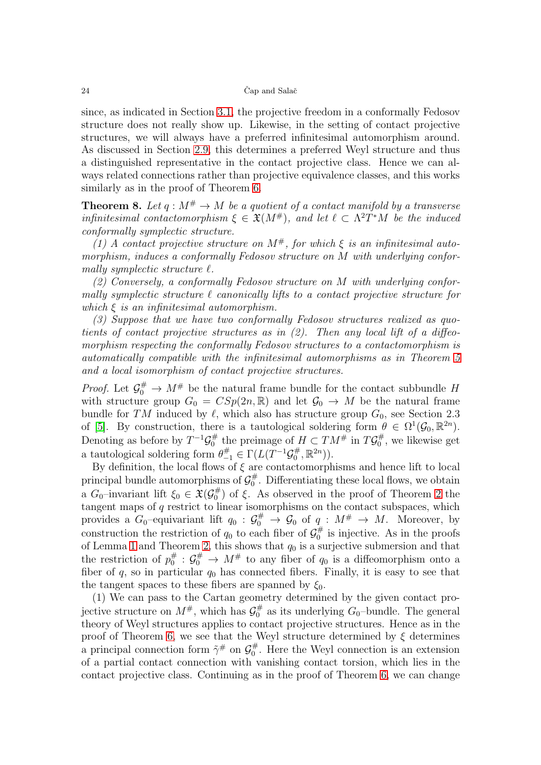since, as indicated in Section [3.1,](#page-20-0) the projective freedom in a conformally Fedosov structure does not really show up. Likewise, in the setting of contact projective structures, we will always have a preferred infinitesimal automorphism around. As discussed in Section [2.9,](#page-16-0) this determines a preferred Weyl structure and thus a distinguished representative in the contact projective class. Hence we can always related connections rather than projective equivalence classes, and this works similarly as in the proof of Theorem [6.](#page-17-0)

<span id="page-23-0"></span>**Theorem 8.** Let  $q : M^* \to M$  be a quotient of a contact manifold by a transverse infinitesimal contactomorphism  $\xi \in \mathfrak{X}(M^{\#})$ , and let  $\ell \subset \Lambda^2T^*M$  be the induced conformally symplectic structure.

(1) A contact projective structure on  $M^{\#}$ , for which  $\xi$  is an infinitesimal automorphism, induces a conformally Fedosov structure on M with underlying conformally symplectic structure  $\ell$ .

(2) Conversely, a conformally Fedosov structure on M with underlying conformally symplectic structure  $\ell$  canonically lifts to a contact projective structure for which  $\xi$  is an infinitesimal automorphism.

(3) Suppose that we have two conformally Fedosov structures realized as quotients of contact projective structures as in  $(2)$ . Then any local lift of a diffeomorphism respecting the conformally Fedosov structures to a contactomorphism is automatically compatible with the infinitesimal automorphisms as in Theorem [5](#page-15-0) and a local isomorphism of contact projective structures.

*Proof.* Let  $\mathcal{G}_0^{\#} \to M^{\#}$  be the natural frame bundle for the contact subbundle H with structure group  $G_0 = CSp(2n, \mathbb{R})$  and let  $\mathcal{G}_0 \to M$  be the natural frame bundle for TM induced by  $\ell$ , which also has structure group  $G_0$ , see Section 2.3 of [\[5\]](#page-27-2). By construction, there is a tautological soldering form  $\theta \in \Omega^1(\mathcal{G}_0,\mathbb{R}^{2n})$ . Denoting as before by  $T^{-1}\mathcal{G}_0^{\#}$  $t_0^{\#}$  the preimage of  $H \subset TM^{\#}$  in  $T\mathcal{G}_0^{\#}$  $_{0}^{\#}$ , we likewise get a tautological soldering form  $\theta_{-1}^{\#} \in \Gamma(L(T^{-1}\mathcal{G}_{0}^{\#}))$  $_{0}^{\#}, \mathbb{R}^{2n})$ ).

By definition, the local flows of  $\xi$  are contactomorphisms and hence lift to local principal bundle automorphisms of  $\mathcal{G}^\#_0$  $_{0}^{\#}$ . Differentiating these local flows, we obtain a  $G_0$ -invariant lift  $\xi_0 \in \mathfrak{X}(\mathcal{G}_0^{\#})$  $\binom{\pi}{0}$  of  $\xi$ . As observed in the proof of Theorem [2](#page-8-0) the tangent maps of q restrict to linear isomorphisms on the contact subspaces, which provides a  $G_0$ -equivariant lift  $q_0: \mathcal{G}_0^{\#} \to \mathcal{G}_0$  of  $q_0: M^{\#} \to M$ . Moreover, by construction the restriction of  $q_0$  to each fiber of  $\mathcal{G}_0^{\#}$  $\frac{\pi}{0}$  is injective. As in the proofs of Lemma [1](#page-7-0) and Theorem [2,](#page-8-0) this shows that  $q_0$  is a surjective submersion and that the restriction of  $p_0^{\#}$  $\phi_0^{\#}: \mathcal{G}_0^{\#} \to M^{\#}$  to any fiber of  $q_0$  is a diffeomorphism onto a fiber of  $q$ , so in particular  $q_0$  has connected fibers. Finally, it is easy to see that the tangent spaces to these fibers are spanned by  $\xi_0$ .

(1) We can pass to the Cartan geometry determined by the given contact projective structure on  $M^{\#}$ , which has  $\mathcal{G}_0^{\#}$  as its underlying  $G_0$ -bundle. The general theory of Weyl structures applies to contact projective structures. Hence as in the proof of Theorem [6,](#page-17-0) we see that the Weyl structure determined by  $\xi$  determines a principal connection form  $\tilde{\gamma}^{\#}$  on  $\mathcal{G}_0^{\#}$  $_{0}^{\#}$ . Here the Weyl connection is an extension of a partial contact connection with vanishing contact torsion, which lies in the contact projective class. Continuing as in the proof of Theorem [6,](#page-17-0) we can change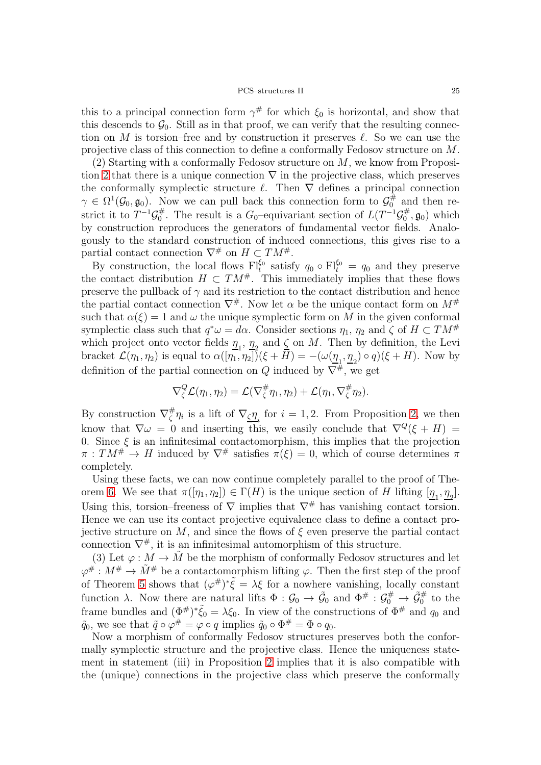#### PCS–structures II 25

this to a principal connection form  $\gamma^{\#}$  for which  $\xi_0$  is horizontal, and show that this descends to  $\mathcal{G}_0$ . Still as in that proof, we can verify that the resulting connection on M is torsion–free and by construction it preserves  $\ell$ . So we can use the projective class of this connection to define a conformally Fedosov structure on M.

(2) Starting with a conformally Fedosov structure on M, we know from Proposi-tion [2](#page-20-1) that there is a unique connection  $\nabla$  in the projective class, which preserves the conformally symplectic structure  $\ell$ . Then  $\nabla$  defines a principal connection  $\gamma \in \Omega^1(\mathcal{G}_0, \mathfrak{g}_0)$ . Now we can pull back this connection form to  $\mathcal{G}_0^{\#}$  $\frac{\pi}{0}$  and then restrict it to  $T^{-1} \mathcal{G}^{\#}_0$  $_{0}^{\#}$ . The result is a  $G_{0}$ -equivariant section of  $L(T^{-1}\mathcal{G}_{0}^{\#})$  $\mathfrak{g}_0^{\#}, \mathfrak{g}_0$ ) which by construction reproduces the generators of fundamental vector fields. Analogously to the standard construction of induced connections, this gives rise to a partial contact connection  $\nabla^{\#}$  on  $H \subset TM^{\#}$ .

By construction, the local flows  $\mathbb{F}_{t}^{\xi_0}$  satisfy  $q_0 \circ \mathbb{F}_{t}^{\xi_0} = q_0$  and they preserve the contact distribution  $H \subset TM^{\#}$ . This immediately implies that these flows preserve the pullback of  $\gamma$  and its restriction to the contact distribution and hence the partial contact connection  $\nabla^*$ . Now let  $\alpha$  be the unique contact form on  $M^*$ such that  $\alpha(\xi) = 1$  and  $\omega$  the unique symplectic form on M in the given conformal symplectic class such that  $q^*\omega = d\alpha$ . Consider sections  $\eta_1$ ,  $\eta_2$  and  $\zeta$  of  $H \subset TM^{\#}$ which project onto vector fields  $\underline{\eta}_1$ ,  $\underline{\eta}_2$  and  $\underline{\zeta}$  on M. Then by definition, the Levi bracket  $\mathcal{L}(\eta_1, \eta_2)$  is equal to  $\alpha([\eta_1, \eta_2])(\xi + H) = -(\omega(\underline{\eta}_1, \underline{\eta}_2) \circ q)(\xi + H)$ . Now by definition of the partial connection on Q induced by  $\nabla^{\tilde{\#}}$ , we get

$$
\nabla_{\zeta}^{Q} \mathcal{L}(\eta_1, \eta_2) = \mathcal{L}(\nabla_{\zeta}^{H} \eta_1, \eta_2) + \mathcal{L}(\eta_1, \nabla_{\zeta}^{H} \eta_2).
$$

By construction  $\nabla_{\zeta}^{\#}$  $\frac{\partial f}{\partial \zeta}$  is a lift of  $\nabla_{\underline{\zeta} \underline{\eta}_i}$  for  $i = 1, 2$ . From Proposition [2,](#page-20-1) we then know that  $\nabla \omega = 0$  and inserting this, we easily conclude that  $\nabla^Q(\xi + H)$ 0. Since  $\xi$  is an infinitesimal contactomorphism, this implies that the projection  $\pi : TM^{\#} \to H$  induced by  $\nabla^{\#}$  satisfies  $\pi(\xi) = 0$ , which of course determines  $\pi$ completely.

Using these facts, we can now continue completely parallel to the proof of The-orem [6.](#page-17-0) We see that  $\pi([\eta_1, \eta_2]) \in \Gamma(H)$  is the unique section of H lifting  $[\underline{\eta}_1, \underline{\eta}_2]$ . Using this, torsion–freeness of  $\nabla$  implies that  $\nabla^*$  has vanishing contact torsion. Hence we can use its contact projective equivalence class to define a contact projective structure on M, and since the flows of  $\xi$  even preserve the partial contact connection  $\nabla^{\#}$ , it is an infinitesimal automorphism of this structure.

(3) Let  $\varphi: M \to \tilde{M}$  be the morphism of conformally Fedosov structures and let  $\varphi$ <sup>#</sup> :  $M^{\#} \to \tilde{M}^{\#}$  be a contactomorphism lifting  $\varphi$ . Then the first step of the proof of Theorem [5](#page-15-0) shows that  $(\varphi^{\#})^*\tilde{\xi} = \lambda \xi$  for a nowhere vanishing, locally constant function  $\lambda$ . Now there are natural lifts  $\Phi: \mathcal{G}_0 \to \tilde{\mathcal{G}}_0$  and  $\Phi^{\#}: \mathcal{G}_0^{\#} \to \tilde{\mathcal{G}}_0^{\#}$  to the frame bundles and  $(\Phi^{\#})^*\tilde{\xi}_0 = \lambda \xi_0$ . In view of the constructions of  $\Phi^{\#}$  and  $q_0$  and  $\tilde{q}_0$ , we see that  $\tilde{q} \circ \varphi^{\#} = \varphi \circ q$  implies  $\tilde{q}_0 \circ \Phi^{\#} = \Phi \circ q_0$ .

Now a morphism of conformally Fedosov structures preserves both the conformally symplectic structure and the projective class. Hence the uniqueness statement in statement (iii) in Proposition [2](#page-20-1) implies that it is also compatible with the (unique) connections in the projective class which preserve the conformally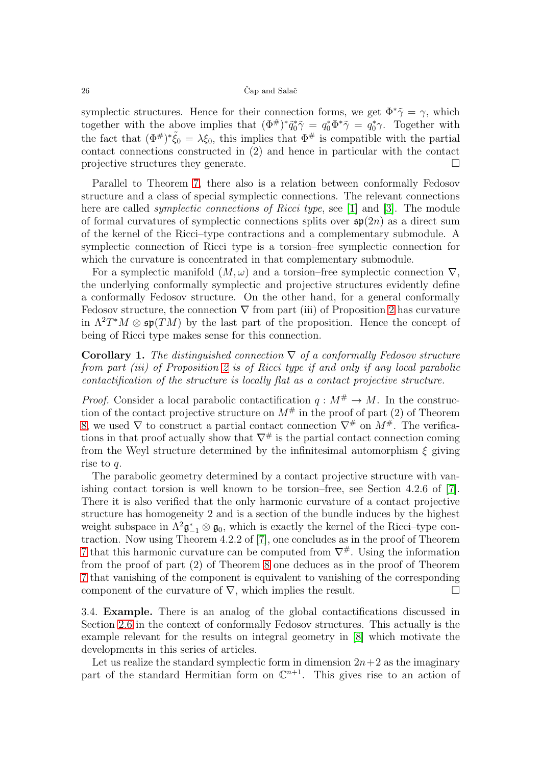## $\check{\mathrm{C}}$ ap and Salač

symplectic structures. Hence for their connection forms, we get  $\Phi^*\tilde{\gamma} = \gamma$ , which together with the above implies that  $(\Phi^{\#})^* \tilde{q}_0^* \tilde{\gamma} = q_0^* \Phi^* \tilde{\gamma} = q_0^* \gamma$ . Together with the fact that  $(\Phi^{\#})^*\tilde{\xi}_0 = \lambda \xi_0$ , this implies that  $\Phi^{\#}$  is compatible with the partial contact connections constructed in (2) and hence in particular with the contact projective structures they generate.

Parallel to Theorem [7,](#page-19-0) there also is a relation between conformally Fedosov structure and a class of special symplectic connections. The relevant connections here are called *symplectic connections of Ricci type*, see [\[1\]](#page-26-1) and [\[3\]](#page-26-0). The module of formal curvatures of symplectic connections splits over  $\mathfrak{sp}(2n)$  as a direct sum of the kernel of the Ricci–type contractions and a complementary submodule. A symplectic connection of Ricci type is a torsion–free symplectic connection for which the curvature is concentrated in that complementary submodule.

For a symplectic manifold  $(M, \omega)$  and a torsion–free symplectic connection  $\nabla$ , the underlying conformally symplectic and projective structures evidently define a conformally Fedosov structure. On the other hand, for a general conformally Fedosov structure, the connection  $\nabla$  from part (iii) of Proposition [2](#page-20-1) has curvature in  $\Lambda^2T^*M\otimes \mathfrak{sp}(TM)$  by the last part of the proposition. Hence the concept of being of Ricci type makes sense for this connection.

# <span id="page-25-0"></span>**Corollary 1.** The distinguished connection  $\nabla$  of a conformally Fedosov structure from part (iii) of Proposition [2](#page-20-1) is of Ricci type if and only if any local parabolic contactification of the structure is locally flat as a contact projective structure.

*Proof.* Consider a local parabolic contactification  $q : M^* \to M$ . In the construction of the contact projective structure on  $M^{\#}$  in the proof of part (2) of Theorem [8,](#page-23-0) we used  $\nabla$  to construct a partial contact connection  $\nabla^{\#}$  on  $M^{\#}$ . The verifications in that proof actually show that  $\nabla^{\#}$  is the partial contact connection coming from the Weyl structure determined by the infinitesimal automorphism  $\xi$  giving rise to q.

The parabolic geometry determined by a contact projective structure with vanishing contact torsion is well known to be torsion–free, see Section 4.2.6 of [\[7\]](#page-27-5). There it is also verified that the only harmonic curvature of a contact projective structure has homogeneity 2 and is a section of the bundle induces by the highest weight subspace in  $\Lambda^2 \mathfrak{g}_{-1}^* \otimes \mathfrak{g}_0$ , which is exactly the kernel of the Ricci–type contraction. Now using Theorem 4.2.2 of [\[7\]](#page-27-5), one concludes as in the proof of Theorem [7](#page-19-0) that this harmonic curvature can be computed from  $\nabla^*$ . Using the information from the proof of part (2) of Theorem [8](#page-23-0) one deduces as in the proof of Theorem [7](#page-19-0) that vanishing of the component is equivalent to vanishing of the corresponding component of the curvature of  $\nabla$ , which implies the result.

3.4. Example. There is an analog of the global contactifications discussed in Section [2.6](#page-10-0) in the context of conformally Fedosov structures. This actually is the example relevant for the results on integral geometry in [\[8\]](#page-27-0) which motivate the developments in this series of articles.

Let us realize the standard symplectic form in dimension  $2n+2$  as the imaginary part of the standard Hermitian form on  $\mathbb{C}^{n+1}$ . This gives rise to an action of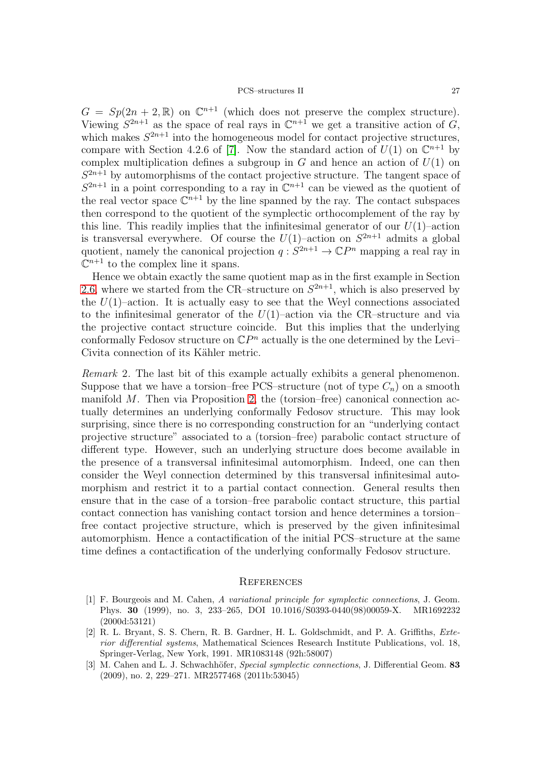$G = Sp(2n + 2, \mathbb{R})$  on  $\mathbb{C}^{n+1}$  (which does not preserve the complex structure). Viewing  $S^{2n+1}$  as the space of real rays in  $\mathbb{C}^{n+1}$  we get a transitive action of  $G$ , which makes  $S^{2n+1}$  into the homogeneous model for contact projective structures, compare with Section 4.2.6 of [\[7\]](#page-27-5). Now the standard action of  $U(1)$  on  $\mathbb{C}^{n+1}$  by complex multiplication defines a subgroup in  $G$  and hence an action of  $U(1)$  on  $S^{2n+1}$  by automorphisms of the contact projective structure. The tangent space of  $S^{2n+1}$  in a point corresponding to a ray in  $\mathbb{C}^{n+1}$  can be viewed as the quotient of the real vector space  $\mathbb{C}^{n+1}$  by the line spanned by the ray. The contact subspaces then correspond to the quotient of the symplectic orthocomplement of the ray by this line. This readily implies that the infinitesimal generator of our  $U(1)$ –action is transversal everywhere. Of course the  $U(1)$ -action on  $S^{2n+1}$  admits a global quotient, namely the canonical projection  $q: S^{2n+1} \to \mathbb{C}P^n$  mapping a real ray in  $\mathbb{C}^{n+1}$  to the complex line it spans.

Hence we obtain exactly the same quotient map as in the first example in Section [2.6,](#page-10-0) where we started from the CR-structure on  $S^{2n+1}$ , which is also preserved by the  $U(1)$ –action. It is actually easy to see that the Weyl connections associated to the infinitesimal generator of the  $U(1)$ –action via the CR–structure and via the projective contact structure coincide. But this implies that the underlying conformally Fedosov structure on  $\mathbb{C}P^n$  actually is the one determined by the Levi– Civita connection of its Kähler metric.

Remark 2. The last bit of this example actually exhibits a general phenomenon. Suppose that we have a torsion–free PCS–structure (not of type  $C_n$ ) on a smooth manifold M. Then via Proposition [2,](#page-20-1) the (torsion–free) canonical connection actually determines an underlying conformally Fedosov structure. This may look surprising, since there is no corresponding construction for an "underlying contact projective structure" associated to a (torsion–free) parabolic contact structure of different type. However, such an underlying structure does become available in the presence of a transversal infinitesimal automorphism. Indeed, one can then consider the Weyl connection determined by this transversal infinitesimal automorphism and restrict it to a partial contact connection. General results then ensure that in the case of a torsion–free parabolic contact structure, this partial contact connection has vanishing contact torsion and hence determines a torsion– free contact projective structure, which is preserved by the given infinitesimal automorphism. Hence a contactification of the initial PCS–structure at the same time defines a contactification of the underlying conformally Fedosov structure.

# **REFERENCES**

- <span id="page-26-1"></span>[1] F. Bourgeois and M. Cahen, A variational principle for symplectic connections, J. Geom. Phys. 30 (1999), no. 3, 233–265, DOI 10.1016/S0393-0440(98)00059-X. MR1692232 (2000d:53121)
- <span id="page-26-2"></span>[2] R. L. Bryant, S. S. Chern, R. B. Gardner, H. L. Goldschmidt, and P. A. Griffiths, Exterior differential systems, Mathematical Sciences Research Institute Publications, vol. 18, Springer-Verlag, New York, 1991. MR1083148 (92h:58007)
- <span id="page-26-0"></span>[3] M. Cahen and L. J. Schwachhöfer, Special symplectic connections, J. Differential Geom. 83 (2009), no. 2, 229–271. MR2577468 (2011b:53045)